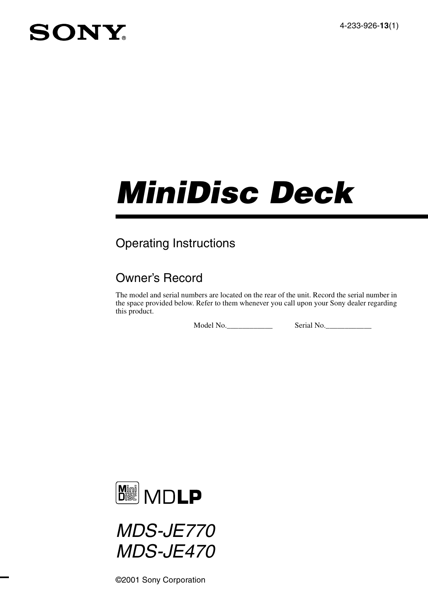4-233-926-**13**(1)

## SONY

# *MiniDisc Deck*

## Operating Instructions

## Owner's Record

The model and serial numbers are located on the rear of the unit. Record the serial number in the space provided below. Refer to them whenever you call upon your Sony dealer regarding this product.

Model No.\_\_\_\_\_\_\_\_\_\_\_\_ Serial No.\_\_\_\_\_\_\_\_\_\_\_\_





©2001 Sony Corporation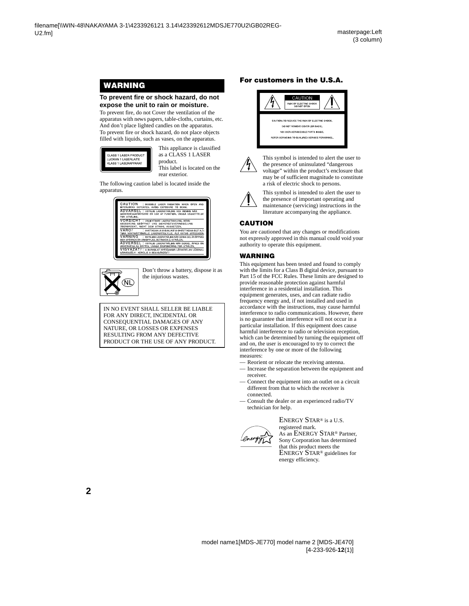## **WARNING**

#### **To prevent fire or shock hazard, do not expose the unit to rain or moisture.**

To prevent fire, do not Cover the ventilation of the apparatus with news papers, table-cloths, curtains, etc. And don't place lighted candles on the apparatus. To prevent fire or shock hazard, do not place objects filled with liquids, such as vases, on the apparatus.



This appliance is classified as a CLASS 1 LASER product. This label is located on the rear exterior.

The following caution label is located inside the apparatus.





Don't throw a battery, dispose it as the injurious wastes.

IN NO EVENT SHALL SELLER BE LIABLE FOR ANY DIRECT, INCIDENTAL OR CONSEQUENTIAL DAMAGES OF ANY NATURE, OR LOSSES OR EXPENSES RESULTING FROM ANY DEFECTIVE PRODUCT OR THE USE OF ANY PRODUCT.

#### **For customers in the U.S.A.**





This symbol is intended to alert the user to the presence of uninsulated "dangerous voltage" within the product's enclosure that may be of sufficient magnitude to constitute a risk of electric shock to persons.



This symbol is intended to alert the user to the presence of important operating and maintenance (servicing) instructions in the literature accompanying the appliance.

#### **CAUTION**

You are cautioned that any changes or modifications not expressly approved in this manual could void your authority to operate this equipment.

#### **WARNING**

This equipment has been tested and found to comply with the limits for a Class B digital device, pursuant to Part 15 of the FCC Rules. These limits are designed to provide reasonable protection against harmful interference in a residential installation. This equipment generates, uses, and can radiate radio frequency energy and, if not installed and used in accordance with the instructions, may cause harmful interference to radio communications. However, there is no guarantee that interference will not occur in a particular installation. If this equipment does cause harmful interference to radio or television reception. which can be determined by turning the equipment off and on, the user is encouraged to try to correct the interference by one or more of the following measures:

- Reorient or relocate the receiving antenna.
- Increase the separation between the equipment and receiver.
- Connect the equipment into an outlet on a circuit different from that to which the receiver is connected.
- Consult the dealer or an experienced radio/TV technician for help.



ENERGY STAR<sup>®</sup> is a U.S. registered mark. As an ENERGY STAR® Partner, Sony Corporation has determined that this product meets the ENERGY STAR® guidelines for energy efficiency.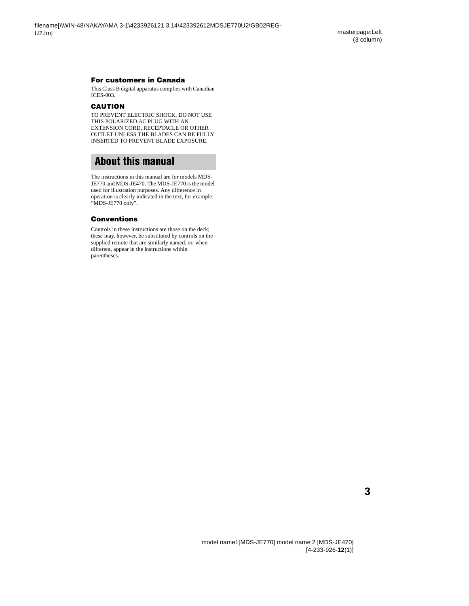#### **For customers in Canada**

This Class B digital apparatus complies with Canadian ICES-003.

#### **CAUTION**

TO PREVENT ELECTRIC SHOCK, DO NOT USE THIS POLARIZED AC PLUG WITH AN EXTENSION CORD, RECEPTACLE OR OTHER OUTLET UNLESS THE BLADES CAN BE FULLY INSERTED TO PREVENT BLADE EXPOSURE.

## <span id="page-2-0"></span>**About this manual**

The instructions in this manual are for models MDS-JE770 and MDS-JE470. The MDS-JE770 is the model used for illustration purposes. Any difference in operation is clearly indicated in the text, for example, "MDS-JE770 only".

#### **Conventions**

Controls in these instructions are those on the deck; these may, however, be substituted by controls on the supplied remote that are similarly named, or, when different, appear in the instructions within parentheses.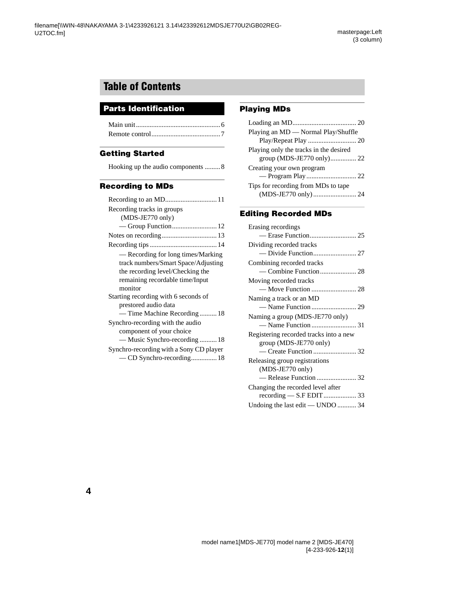## **Table of Contents**

## **Parts Identification**

#### **[Getting Started](#page-7-0)**

|  |  | Hooking up the audio components 8 |
|--|--|-----------------------------------|
|--|--|-----------------------------------|

#### **[Recording to MDs](#page-10-0)**

| Recording tracks in groups              |
|-----------------------------------------|
| $(MDS-JE770 \text{ only})$              |
|                                         |
|                                         |
|                                         |
| — Recording for long times/Marking      |
| track numbers/Smart Space/Adjusting     |
| the recording level/Checking the        |
| remaining recordable time/Input         |
| monitor                                 |
| Starting recording with 6 seconds of    |
| prestored audio data                    |
| — Time Machine Recording  18            |
| Synchro-recording with the audio        |
| component of your choice                |
| — Music Synchro-recording  18           |
| Synchro-recording with a Sony CD player |
| - CD Synchro-recording 18               |

#### **[Playing MDs](#page-19-0)**

#### **[Editing Recorded MDs](#page-24-0)**

| Erasing recordings                                                                      |
|-----------------------------------------------------------------------------------------|
|                                                                                         |
| Dividing recorded tracks                                                                |
|                                                                                         |
| Combining recorded tracks                                                               |
|                                                                                         |
| Moving recorded tracks                                                                  |
|                                                                                         |
| Naming a track or an MD                                                                 |
|                                                                                         |
| Naming a group (MDS-JE770 only)                                                         |
|                                                                                         |
| Registering recorded tracks into a new                                                  |
| $group (MDS-JE770 only)$                                                                |
|                                                                                         |
| Releasing group registrations                                                           |
| $(MDS-JE770 \text{ only})$                                                              |
|                                                                                         |
| Changing the recorded level after                                                       |
| $\mathrm{recoding} = \mathrm{S.F} \mathrm{EDIT} \dots \dots \dots \dots \dots \dots 33$ |
| Undoing the last edit — UNDO  34                                                        |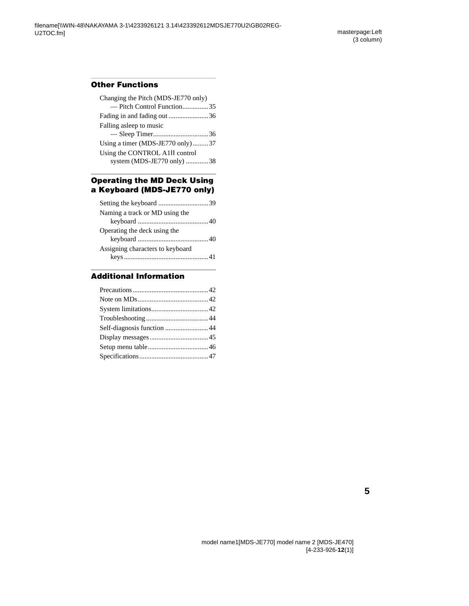## **[Other Functions](#page-34-0)**

| Changing the Pitch (MDS-JE770 only) |  |
|-------------------------------------|--|
| - Pitch Control Function35          |  |
| Fading in and fading out 36         |  |
| Falling as leep to music            |  |
|                                     |  |
| Using a timer (MDS-JE770 only)  37  |  |
| Using the CONTROL A1II control      |  |
| system (MDS-JE770 only) 38          |  |
|                                     |  |

#### **[Operating the MD Deck Using](#page-38-0)  a Keyboard (MDS-JE770 only)**

| Naming a track or MD using the   |
|----------------------------------|
|                                  |
| Operating the deck using the     |
|                                  |
| Assigning characters to keyboard |
|                                  |

## **[Additional Information](#page-41-0)**

| Self-diagnosis function  44 |  |
|-----------------------------|--|
|                             |  |
|                             |  |
|                             |  |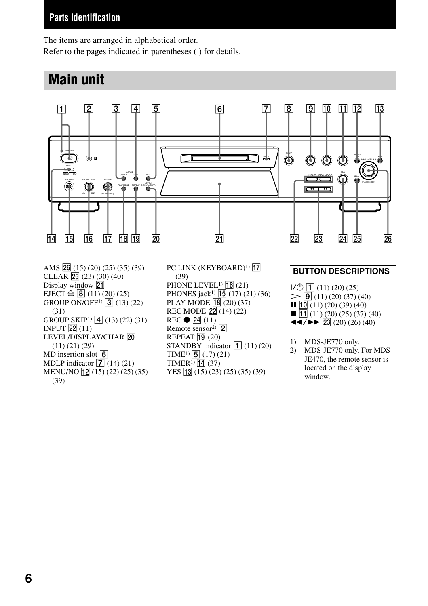#### **Parts Identification**

The items are arranged in alphabetical order. Refer to the pages indicated in parentheses ( ) for details.

## **Main unit**



AMS  $\overline{26}$  (15) (20) (25) (35) (39)  $CLEAR$   $25(23)(30)(40)$ Display window 21 EJECT  $\triangleq$  **8** (11) (20) (25) GROUP ON/OFF<sup>1)</sup> 3 (13) (22) (31) GROUP SKIP<sup>1)</sup>  $\boxed{4}$  (13) (22) (31) INPUT  $\boxed{22}$  (11) LEVEL/DISPLAY/CHAR 20 (11) (21) (29) MD insertion slot  $\boxed{6}$ MDLP indicator  $\sqrt{7}$  (14) (21) MENU/NO  $\boxed{12}$  (15) (22) (25) (35) (39)

PC LINK (KEYBOARD)<sup>1)</sup> [7] (39) PHONE LEVEL<sup>1)</sup>  $\overline{16}$  (21) PHONES jack<sup>1)</sup>  $\overline{15}$  (17) (21) (36) PLAY MODE  $\overline{18}$  (20) (37) REC MODE  $\sqrt{22}$  (14) (22)  $REC \bullet \overline{24}$  (11) Remote sensor<sup>2)</sup>  $\boxed{2}$ REPEAT  $\overline{19}$  (20) STANDBY indicator  $\boxed{1}$  (11) (20) TIME<sup>1)</sup>  $\boxed{5}$  (17) (21) TIMER<sup>1)</sup>  $\boxed{14}$  (37) YES **13** (15) (23) (25) (35) (39)

#### <span id="page-5-0"></span>**BUTTON DESCRIPTIONS**

 $\vert J' \circlearrowleft \vert \overline{T} \vert$  (11) (20) (25)  $\triangleright$   $\boxed{9}$  (11) (20) (37) (40)  $\Pi$   $\overline{10}$  (11) (20) (39) (40)  $\blacksquare$   $\overline{11}$  (11) (20) (25) (37) (40)  $\blacktriangleleft$  / $\blacktriangleright$   $\blacktriangleright$  23 (20) (26) (40)

- 1) MDS-JE770 only.
- 2) MDS-JE770 only. For MDS-JE470, the remote sensor is located on the display window.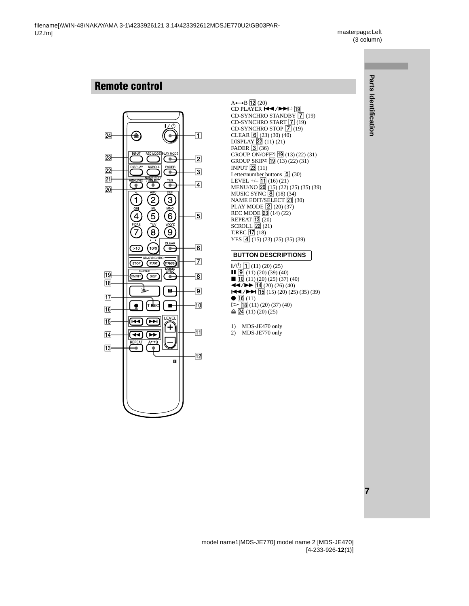## <span id="page-6-0"></span>**Remote control**



 $A \rightarrow B$   $\overline{12}$  [\(20\)](#page-19-4) CD PLAYER  $\overline{144}$ / $\rightarrow$ 1[1\)](#page-6-1)  $\overline{19}$  $CD-SYNCHRO STANDBY \overline{7}$  [\(19\)](#page-18-0) CD-SYNCHRO START  $\boxed{7}$   $\boxed{19}$ CD-SYNCHRO STOP  $\overline{7}(19)$  $\overline{7}(19)$ CLEAR  $\boxed{6}$  [\(23\)](#page-22-0) [\(30\)](#page-29-0) [\(40\)](#page-39-2)  $DISPLAY$   $22$   $(11)$   $(21)$ FADER  $\overline{3}$  [\(36\)](#page-35-3) GROUP ON/OFF<sup>2)</sup>  $\boxed{19}$  [\(13\)](#page-12-1) [\(22\)](#page-21-3) [\(31\)](#page-30-2) GROUP SKIP<sup>[2\)](#page-6-2)</sup>  $\boxed{19}$   $\boxed{(13)}$   $\boxed{(22)}$   $\boxed{(31)}$  $\boxed{(31)}$  $\boxed{(31)}$ INPUT  $\overline{23}$  [\(11\)](#page-10-3) Letter/number buttons  $\boxed{5}$  [\(30\)](#page-29-1) LEVEL  $+/-$  11 [\(16\)](#page-15-0) [\(21\)](#page-20-3) MENU/NO 20 [\(15\)](#page-14-0) [\(22\)](#page-21-5) [\(25\)](#page-24-2) [\(35\)](#page-34-3) [\(39\)](#page-38-2) MUSIC SYNC  $\overline{8}$  [\(18\)](#page-17-4) [\(34\)](#page-33-1)  $NAME$  EDIT/SELECT  $\overline{21}$  [\(30\)](#page-29-2) PLAY MODE  $\boxed{2}$  [\(20\)](#page-19-5) [\(37\)](#page-36-3) REC MODE 23 [\(14\)](#page-13-3) [\(22\)](#page-21-6) REPEAT  $\overline{13}$   $\overline{(20)}$  $\overline{(20)}$  $\overline{(20)}$  $SCROLLL$   $22(21)$ T.REC  $\overline{17}$  [\(18\)](#page-17-5) YES  $\boxed{4}$  [\(15\)](#page-14-1) [\(23\)](#page-22-1) [\(25\)](#page-24-3) [\(35\)](#page-34-4) [\(39\)](#page-38-3)

#### **BUTTON DESCRIPTIONS**

 $\overline{1}$   $\overline{1}$   $\overline{1}$   $\overline{1}$   $\overline{1}$   $\overline{20}$   $\overline{25}$  $\overline{9}(11)(20)(39)(40)$  $\overline{9}(11)(20)(39)(40)$  $\overline{9}(11)(20)(39)(40)$  $\overline{9}(11)(20)(39)(40)$  $\blacksquare$   $\overline{10}$  [\(11\)](#page-10-6) [\(20\)](#page-19-10) [\(25\)](#page-24-2) [\(37\)](#page-36-5) [\(40\)](#page-39-5)  $\blacktriangleleft$  / $\blacktriangleright$   $\blacktriangleright$   $\lceil 14 \rceil$  [\(20\)](#page-19-11) [\(26\)](#page-25-0) [\(40\)](#page-39-6)  $|\blacktriangleleft$  / $\blacktriangleright$   $|\overline{15}|$  [\(15\)](#page-14-1) [\(20\)](#page-19-12) [\(25\)](#page-24-3) [\(35\)](#page-34-4) [\(39\)](#page-38-3)  $\bullet$   $\overline{16}$  [\(11\)](#page-10-7)  $\triangleright$  (18) [\(11\)](#page-10-5) [\(20\)](#page-19-8) [\(37\)](#page-36-4) [\(40\)](#page-39-3)  $\triangleq$   $\boxed{24}$  [\(11\)](#page-10-8) [\(20\)](#page-19-13) [\(25\)](#page-24-4)

<span id="page-6-1"></span>1) MDS-JE470 only

<span id="page-6-2"></span>2) MDS-JE770 only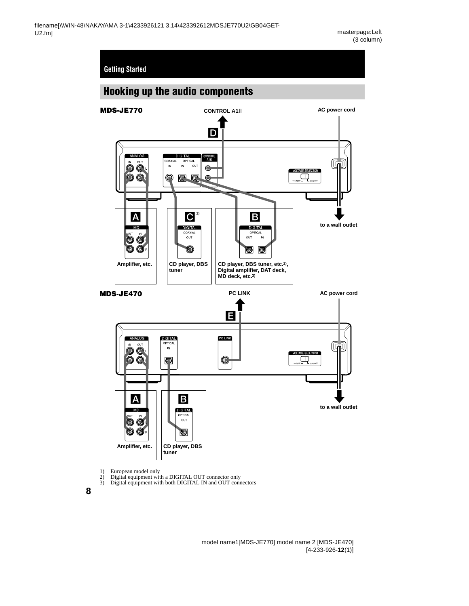## <span id="page-7-5"></span><span id="page-7-1"></span><span id="page-7-0"></span>**Hooking up the audio components**



- <span id="page-7-4"></span>1) European model only<br>
2) Digital equipment wit<br>
3) Digital equipment wit
	-
- <span id="page-7-3"></span><span id="page-7-2"></span>2) Digital equipment with a DIGITAL OUT connector only 3) Digital equipment with both DIGITAL IN and OUT connectors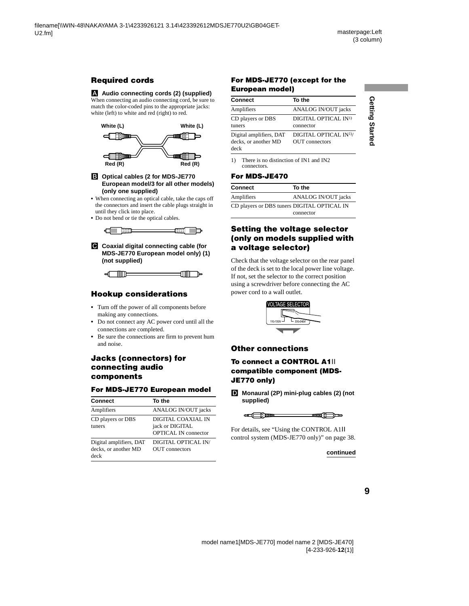# Getting Startec **Getting Started**

## **Required cords**

#### A **Audio connecting cords (2) (supplied)**

When connecting an audio connecting cord, be sure to match the color-coded pins to the appropriate jacks: white (left) to white and red (right) to red.



#### B **Optical cables (2 for MDS-JE770 European model/3 for all other models) (only one supplied)**

- **•** When connecting an optical cable, take the caps off the connectors and insert the cable plugs straight in until they click into place.
- **•** Do not bend or tie the optical cables.



C **Coaxial digital connecting cable (for MDS-JE770 European model only) (1) (not supplied)**

$$
\begin{array}{c} \hline \text{min} \\ \hline \text{min} \end{array}
$$

#### **Hookup considerations**

- **•** Turn off the power of all components before making any connections.
- **•** Do not connect any AC power cord until all the connections are completed.
- **•** Be sure the connections are firm to prevent hum and noise.

#### **Jacks (connectors) for connecting audio components**

#### **For MDS-JE770 European model**

| <b>Connect</b>                                          | To the                                                               |
|---------------------------------------------------------|----------------------------------------------------------------------|
| Amplifiers                                              | ANALOG IN/OUT jacks                                                  |
| CD players or DBS<br>tuners                             | DIGITAL COAXIAL IN<br>jack or DIGITAL<br><b>OPTICAL IN connector</b> |
| Digital amplifiers, DAT<br>decks, or another MD<br>deck | DIGITAL OPTICAL IN/<br>OUT connectors                                |

#### **For MDS-JE770 (except for the European model)**

| <b>Connect</b>                                  | To the                                               |
|-------------------------------------------------|------------------------------------------------------|
| Amplifiers                                      | ANALOG IN/OUT jacks                                  |
| CD players or DBS                               | DIGITAL OPTICAL IN <sup>1)</sup>                     |
| tuners                                          | connector                                            |
| Digital amplifiers, DAT<br>decks, or another MD | DIGITAL OPTICAL IN <sup>1)</sup> /<br>OUT connectors |
| deck                                            |                                                      |

<sup>1)</sup> There is no distinction of IN1 and IN2 connectors.

#### **For MDS-JE470**

| <b>Connect</b>                              | To the              |
|---------------------------------------------|---------------------|
| Amplifiers                                  | ANALOG IN/OUT jacks |
| CD players or DBS tuners DIGITAL OPTICAL IN |                     |
|                                             | connector           |

#### **Setting the voltage selector (only on models supplied with a voltage selector)**

Check that the voltage selector on the rear panel of the deck is set to the local power line voltage. If not, set the selector to the correct position using a screwdriver before connecting the AC power cord to a wall outlet.



#### **Other connections**

#### **To connect a CONTROL A1**ΙΙ **compatible component (MDS-JE770 only)**

D **Monaural (2P) mini-plug cables (2) (not supplied)**



For details, see ["Using the CONTROL A1](#page-37-1)ΙΙ [control system \(MDS-JE770 only\)" on page 38](#page-37-1).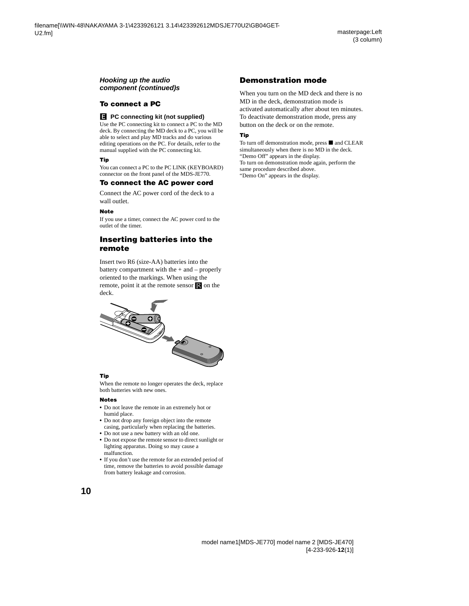#### **Hooking up the audio component (continued)s**

#### **To connect a PC**

#### E **PC connecting kit (not supplied)**

Use the PC connecting kit to connect a PC to the MD deck. By connecting the MD deck to a PC, you will be able to select and play MD tracks and do various editing operations on the PC. For details, refer to the manual supplied with the PC connecting kit.

#### **Tip**

You can connect a PC to the PC LINK (KEYBOARD) connector on the front panel of the MDS-JE770.

#### **To connect the AC power cord**

Connect the AC power cord of the deck to a wall outlet.

#### **Note**

If you use a timer, connect the AC power cord to the outlet of the timer.

#### **Inserting batteries into the remote**

Insert two R6 (size-AA) batteries into the battery compartment with the  $+$  and  $-$  properly oriented to the markings. When using the remote, point it at the remote sensor  $\mathbb R$  on the deck.



#### **Tip**

When the remote no longer operates the deck, replace both batteries with new ones.

#### **Notes**

- **•** Do not leave the remote in an extremely hot or humid place.
- **•** Do not drop any foreign object into the remote casing, particularly when replacing the batteries.
- **•** Do not use a new battery with an old one.
- **•** Do not expose the remote sensor to direct sunlight or lighting apparatus. Doing so may cause a malfunction.
- **•** If you don't use the remote for an extended period of time, remove the batteries to avoid possible damage from battery leakage and corrosion.

#### **Demonstration mode**

When you turn on the MD deck and there is no MD in the deck, demonstration mode is activated automatically after about ten minutes. To deactivate demonstration mode, press any button on the deck or on the remote.

#### **Tip**

To turn off demonstration mode, press  $\blacksquare$  and CLEAR simultaneously when there is no MD in the deck. "Demo Off" appears in the display. To turn on demonstration mode again, perform the same procedure described above.

"Demo On" appears in the display.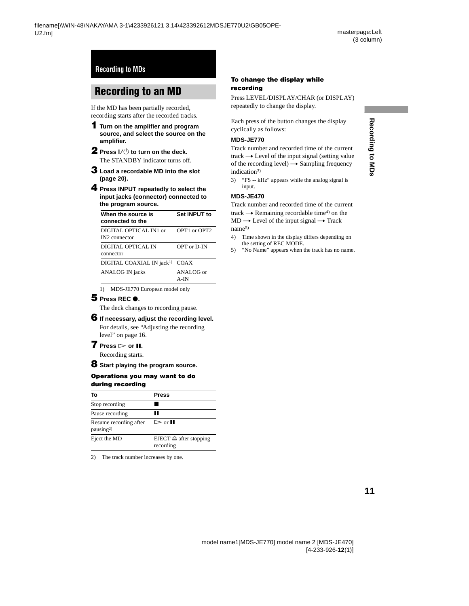## <span id="page-10-1"></span><span id="page-10-0"></span>**Recording to an MD**

If the MD has been partially recorded, recording starts after the recorded tracks.

- <span id="page-10-16"></span>**1 Turn on the amplifier and program source, and select the source on the amplifier.**
- <span id="page-10-21"></span><span id="page-10-4"></span>**2** Press  $I/(1)$  to turn on the deck. The STANDBY indicator turns off.
- <span id="page-10-3"></span>**3 Load a recordable MD into the slot [\(page 20\)](#page-19-1).**
- <span id="page-10-17"></span>**4 Press INPUT repeatedly to select the input jacks (connector) connected to the program source.**

| When the source is<br>connected to the              | Set INPUT to                         |
|-----------------------------------------------------|--------------------------------------|
| DIGITAL OPTICAL IN1 or<br>IN <sub>2</sub> connector | OPT <sub>1</sub> or OPT <sub>2</sub> |
| DIGITAL OPTICAL IN<br>connector                     | OPT or D-IN                          |
| DIGITAL COAXIAL IN jack <sup>1)</sup> COAX          |                                      |
| ANALOG IN jacks                                     | ANALOG or<br>A-IN                    |

<span id="page-10-13"></span><span id="page-10-7"></span>1) MDS-JE770 European model only

#### <span id="page-10-18"></span>**5** Press REC **0**.

The deck changes to recording pause.

#### <span id="page-10-14"></span>**6 If necessary, adjust the recording level.**

<span id="page-10-5"></span>For details, [see "Adjusting the recording](#page-15-1)  [level" on page 16.](#page-15-1)

#### <span id="page-10-20"></span>**7** Press  $>$  or **II**.

Recording starts.

#### <span id="page-10-15"></span>**8 Start playing the program source.**

#### **Operations you may want to do during recording**

<span id="page-10-6"></span>

| Тο                                              | <b>Press</b>                                   |
|-------------------------------------------------|------------------------------------------------|
| Stop recording                                  |                                                |
| Pause recording                                 | Ш                                              |
| Resume recording after<br>pausing <sup>2)</sup> | $\triangleright$ or $\blacksquare$             |
| Eject the MD                                    | EJECT $\triangleq$ after stopping<br>recording |

<span id="page-10-9"></span><span id="page-10-8"></span>2) The track number increases by one.

#### <span id="page-10-19"></span><span id="page-10-2"></span>**To change the display while recording**

Press LEVEL/DISPLAY/CHAR (or DISPLAY) repeatedly to change the display.

Each press of the button changes the display cyclically as follows:

#### **MDS-JE770**

Track number and recorded time of the current track  $\rightarrow$  Level of the input signal (setting value of the recording level)  $\rightarrow$  Sampling frequency indication[3\)](#page-10-10)

<span id="page-10-10"></span>3) "FS -- kHz" appears while the analog signal is input.

#### **MDS-JE470**

Track number and recorded time of the current track  $\rightarrow$  Remaining recordable time<sup>4)</sup> on the  $MD \rightarrow Level$  of the input signal  $\rightarrow$  Track nam[e5\)](#page-10-12)

- <span id="page-10-11"></span>4) Time shown in the display differs depending on the setting of REC MODE.
- <span id="page-10-12"></span>5) "No Name" appears when the track has no name.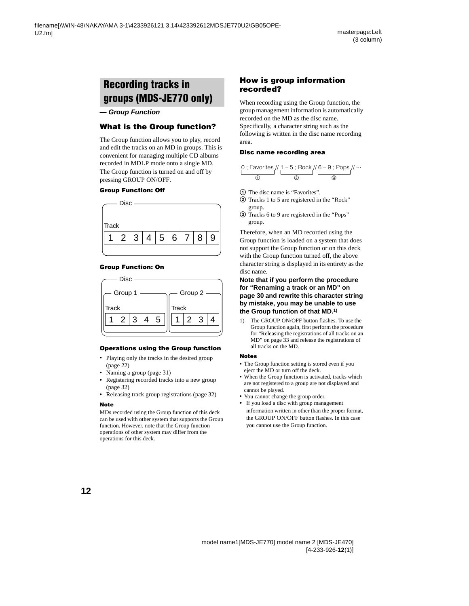## <span id="page-11-0"></span>**Recording tracks in groups (MDS-JE770 only)**

#### **— Group Function**

#### <span id="page-11-2"></span>**What is the Group function?**

The Group function allows you to play, record and edit the tracks on an MD in groups. This is convenient for managing multiple CD albums recorded in MDLP mode onto a single MD. The Group function is turned on and off by pressing GROUP ON/OFF.

#### **Group Function: Off**



#### **Group Function: On**



#### **Operations using the Group function**

- Playing only the tracks in the desired group [\(page 22\)](#page-21-0)
- **•** Naming a group [\(page 31\)](#page-30-0)
- **•** Registering recorded tracks into a new group [\(page 32\)](#page-31-0)
- **•** Releasing track group registrations [\(page 32\)](#page-31-1)

#### **Note**

MDs recorded using the Group function of this deck can be used with other system that supports the Group function. However, note that the Group function operations of other system may differ from the operations for this deck.

#### **How is group information recorded?**

When recording using the Group function, the group management information is automatically recorded on the MD as the disc name. Specifically, a character string such as the following is written in the disc name recording area.

#### **Disc name recording area**

|     | 0 ; Favorites // 1 – 5 ; Rock // 6 – 9 ; Pops // |  |
|-----|--------------------------------------------------|--|
| (2) | (3)                                              |  |

- 1 The disc name is "Favorites".
- 2 Tracks 1 to 5 are registered in the "Rock" group.
- 3 Tracks 6 to 9 are registered in the "Pops" group.

Therefore, when an MD recorded using the Group function is loaded on a system that does not support the Group function or on this deck with the Group function turned off, the above character string is displayed in its entirety as the disc name.

#### **Note that if you perform the procedure for ["Renaming a track or an MD" on](#page-29-3)  [page 30](#page-29-3) and rewrite this character string by mistake, you may be unable to use the Group function of that MD[.1\)](#page-11-1)**

<span id="page-11-1"></span>1) The GROUP ON/OFF button flashes. To use the Group function again, first perform the procedure for ["Releasing the registrations of all tracks on an](#page-32-1)  [MD" on page 33](#page-32-1) and release the registrations of all tracks on the MD.

#### **Notes**

- **•** The Group function setting is stored even if you eject the MD or turn off the deck.
- **•** When the Group function is activated, tracks which are not registered to a group are not displayed and cannot be played.
- **•** You cannot change the group order.
- **•** If you load a disc with group management information written in other than the proper format, the GROUP ON/OFF button flashes. In this case you cannot use the Group function.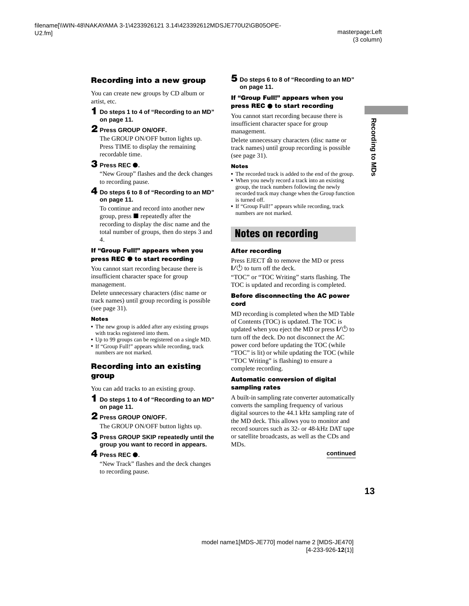#### **Recording into a new group**

You can create new groups by CD album or artist, etc.

#### <span id="page-12-1"></span>**1 Do steps [1](#page-10-16) to [4](#page-10-17) of ["Recording to an MD"](#page-10-1)  [on page 11.](#page-10-1)**

#### **2 Press GROUP ON/OFF.**

The GROUP ON/OFF button lights up. Press TIME to display the remaining recordable time.

#### <span id="page-12-3"></span>**3 Press REC** <sup>z</sup>**.**

"New Group" flashes and the deck changes to recording pause.

#### <span id="page-12-4"></span>**4 Do steps [6](#page-10-14) to [8](#page-10-15) of ["Recording to an MD"](#page-10-1)  [on page 11.](#page-10-1)**

To continue and record into another new group, press  $\blacksquare$  repeatedly after the recording to display the disc name and the total number of groups, then do steps [3](#page-12-3) and [4.](#page-12-4)

#### **If "Group Full!" appears when you press REC**  $\bullet$  **to start recording**

You cannot start recording because there is insufficient character space for group management.

Delete unnecessary characters (disc name or track names) until group recording is possible ([see page 31](#page-30-4)).

#### **Notes**

- **•** The new group is added after any existing groups with tracks registered into them.
- **•** Up to 99 groups can be registered on a single MD.
- **•** If "Group Full!" appears while recording, track numbers are not marked.

#### **Recording into an existing group**

You can add tracks to an existing group.

- **1 Do steps [1](#page-10-16) to [4](#page-10-17) of ["Recording to an MD"](#page-10-1)  [on page 11.](#page-10-1)**
- **2 Press GROUP ON/OFF.**

<span id="page-12-2"></span>The GROUP ON/OFF button lights up.

**3 Press GROUP SKIP repeatedly until the group you want to record in appears.**

#### **4** Press REC  $\bullet$ .

"New Track" flashes and the deck changes to recording pause.

#### **5 Do steps [6](#page-10-14) to [8](#page-10-15) of ["Recording to an MD"](#page-10-1)  [on page 11.](#page-10-1)**

#### **If "Group Full!" appears when you press REC**  $\bullet$  **to start recording**

You cannot start recording because there is insufficient character space for group management.

Delete unnecessary characters (disc name or track names) until group recording is possible ([see page 31](#page-30-4)).

#### **Notes**

- **•** The recorded track is added to the end of the group.
- **•** When you newly record a track into an existing group, the track numbers following the newly recorded track may change when the Group function is turned off.
- **•** If "Group Full!" appears while recording, track numbers are not marked.

## <span id="page-12-0"></span>**Notes on recording**

#### **After recording**

Press EJECT  $\triangleq$  to remove the MD or press  $I/(1)$  to turn off the deck.

"TOC" or "TOC Writing" starts flashing. The TOC is updated and recording is completed.

#### **Before disconnecting the AC power cord**

MD recording is completed when the MD Table of Contents (TOC) is updated. The TOC is updated when you eject the MD or press  $\mathsf{I}/\mathsf{U}$  to turn off the deck. Do not disconnect the AC power cord before updating the TOC (while "TOC" is lit) or while updating the TOC (while "TOC Writing" is flashing) to ensure a complete recording.

#### **Automatic conversion of digital sampling rates**

A built-in sampling rate converter automatically converts the sampling frequency of various digital sources to the 44.1 kHz sampling rate of the MD deck. This allows you to monitor and record sources such as 32- or 48-kHz DAT tape or satellite broadcasts, as well as the CDs and MDs.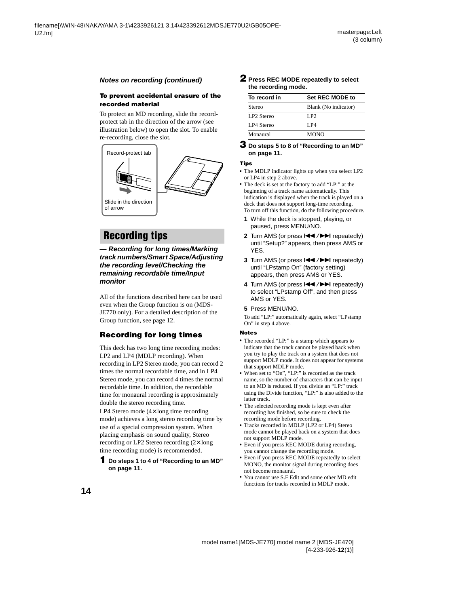#### <span id="page-13-6"></span>**To prevent accidental erasure of the recorded material**

To protect an MD recording, slide the recordprotect tab in the direction of the arrow (see illustration below) to open the slot. To enable re-recording, close the slot.



## <span id="page-13-1"></span>**Recording tips**

#### <span id="page-13-0"></span>**— Recording for long times/Marking track numbers/Smart Space/Adjusting the recording level/Checking the remaining recordable time/Input monitor**

All of the functions described here can be used even when the Group function is on (MDS-JE770 only). For a detailed description of the Group function, [see page 12](#page-11-0).

#### <span id="page-13-7"></span>**Recording for long times**

This deck has two long time recording modes: LP2 and LP4 (MDLP recording). When recording in LP2 Stereo mode, you can record 2 times the normal recordable time, and in LP4 Stereo mode, you can record 4 times the normal recordable time. In addition, the recordable time for monaural recording is approximately double the stereo recording time.

LP4 Stereo mode (4× long time recording mode) achieves a long stereo recording time by use of a special compression system. When placing emphasis on sound quality, Stereo recording or LP2 Stereo recording (2× long time recording mode) is recommended.

#### **1 Do steps [1](#page-10-16) to [4](#page-10-17) of ["Recording to an MD"](#page-10-1)  [on page 11](#page-10-1).**

#### <span id="page-13-4"></span><span id="page-13-3"></span><span id="page-13-2"></span>**2 Press REC MODE repeatedly to select the recording mode.**

| To record in           | <b>Set REC MODE to</b> |
|------------------------|------------------------|
| Stereo                 | Blank (No indicator)   |
| LP <sub>2</sub> Stereo | LP <sub>2</sub>        |
| LP4 Stereo             | <b>LP4</b>             |
| Monaural               | <b>MONO</b>            |

#### **3 Do steps [5](#page-10-18) to [8](#page-10-15) of ["Recording to an MD"](#page-10-1)  [on page 11](#page-10-1).**

#### **Tips**

- **•** The MDLP indicator lights up when you select LP2 or LP4 in step [2](#page-13-4) above.
- **•** The deck is set at the factory to add "LP:" at the beginning of a track name automatically. This indication is displayed when the track is played on a deck that does not support long-time recording. To turn off this function, do the following procedure.
	- **1** While the deck is stopped, playing, or paused, press MENU/NO.
	- **2** Turn AMS (or press  $\leftarrow$  / $\rightarrow$  repeatedly) until "Setup?" appears, then press AMS or YES.
	- **3** Turn AMS (or press  $\leftarrow$  / $\rightarrow$  repeatedly) until "LPstamp On" (factory setting) appears, then press AMS or YES.
	- 4 Turn AMS (or press  $\blacktriangleleft$  / $\blacktriangleright$  repeatedly) to select "LPstamp Off", and then press AMS or YES.
	- **5** Press MENU/NO.

<span id="page-13-5"></span>To add "LP:" automatically again, select "LPstamp On" in step [4](#page-13-5) above.

#### **Notes**

- **•** The recorded "LP:" is a stamp which appears to indicate that the track cannot be played back when you try to play the track on a system that does not support MDLP mode. It does not appear for systems that support MDLP mode.
- **•** When set to "On", "LP:" is recorded as the track name, so the number of characters that can be input to an MD is reduced. If you divide an "LP:" track using the Divide function, "LP:" is also added to the latter track.
- **•** The selected recording mode is kept even after recording has finished, so be sure to check the recording mode before recording.
- **•** Tracks recorded in MDLP (LP2 or LP4) Stereo mode cannot be played back on a system that does not support MDLP mode.
- **•** Even if you press REC MODE during recording, you cannot change the recording mode.
- **•** Even if you press REC MODE repeatedly to select MONO, the monitor signal during recording does not become monaural.
- **•** You cannot use S.F Edit and some other MD edit functions for tracks recorded in MDLP mode.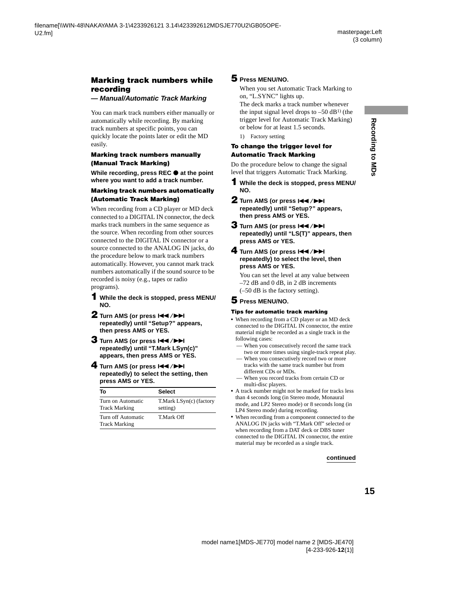#### <span id="page-14-3"></span>**Marking track numbers while recording**

#### **— Manual/Automatic Track Marking**

You can mark track numbers either manually or automatically while recording. By marking track numbers at specific points, you can quickly locate the points later or edit the MD easily.

#### **Marking track numbers manually (Manual Track Marking)**

**While recording, press REC**  $\bullet$  **at the point where you want to add a track number.**

#### <span id="page-14-4"></span>**Marking track numbers automatically (Automatic Track Marking)**

When recording from a CD player or MD deck connected to a DIGITAL IN connector, the deck marks track numbers in the same sequence as the source. When recording from other sources connected to the DIGITAL IN connector or a source connected to the ANALOG IN jacks, do the procedure below to mark track numbers automatically. However, you cannot mark track numbers automatically if the sound source to be recorded is noisy (e.g., tapes or radio programs).

- <span id="page-14-0"></span>**1 While the deck is stopped, press MENU/ NO.**
- **2** Turn AMS (or press  $\leftarrow$  />> **repeatedly) until "Setup?" appears, then press AMS or YES.**
- <span id="page-14-1"></span>**3** Turn AMS (or press  $\leftarrow$  />> **repeatedly) until "T.Mark LSyn(c)" appears, then press AMS or YES.**
- **4** Turn AMS (or press  $\left|\frac{4}{2}\right|$ **repeatedly) to select the setting, then press AMS or YES.**

| Т٥                                         | <b>Select</b>                       |
|--------------------------------------------|-------------------------------------|
| Turn on Automatic<br><b>Track Marking</b>  | T.Mark LSyn(c) (factory<br>setting) |
| Turn off Automatic<br><b>Track Marking</b> | T Mark Off                          |

#### **5 Press MENU/NO.**

When you set Automatic Track Marking to on, "L.SYNC" lights up.

The deck marks a track number whenever the input signal level drops to  $-50$  dB<sup>1)</sup> (the trigger level for Automatic Track Marking) or below for at least 1.5 seconds.

1) Factory setting

#### <span id="page-14-5"></span><span id="page-14-2"></span>**To change the trigger level for Automatic Track Marking**

Do the procedure below to change the signal level that triggers Automatic Track Marking.

- **1 While the deck is stopped, press MENU/ NO.**
- **2** Turn AMS (or press  $144$ / $\rightarrow$ **repeatedly) until "Setup?" appears, then press AMS or YES.**
- **3** Turn AMS (or press  $AA$ />> **repeatedly) until "LS(T)" appears, then press AMS or YES.**

#### **4** Turn AMS (or press  $AA$ />> **repeatedly) to select the level, then press AMS or YES.**

You can set the level at any value between –72 dB and 0 dB, in 2 dB increments (–50 dB is the factory setting).

#### **5 Press MENU/NO.**

#### **Tips for automatic track marking**

- **•** When recording from a CD player or an MD deck connected to the DIGITAL IN connector, the entire material might be recorded as a single track in the following cases:
	- When you consecutively record the same track two or more times using single-track repeat play.
	- When you consecutively record two or more tracks with the same track number but from different CDs or MDs.
	- When you record tracks from certain CD or multi-disc players.
- **•** A track number might not be marked for tracks less than 4 seconds long (in Stereo mode, Monaural mode, and LP2 Stereo mode) or 8 seconds long (in LP4 Stereo mode) during recording.
- **•** When recording from a component connected to the ANALOG IN jacks with "T.Mark Off" selected or when recording from a DAT deck or DBS tuner connected to the DIGITAL IN connector, the entire material may be recorded as a single track.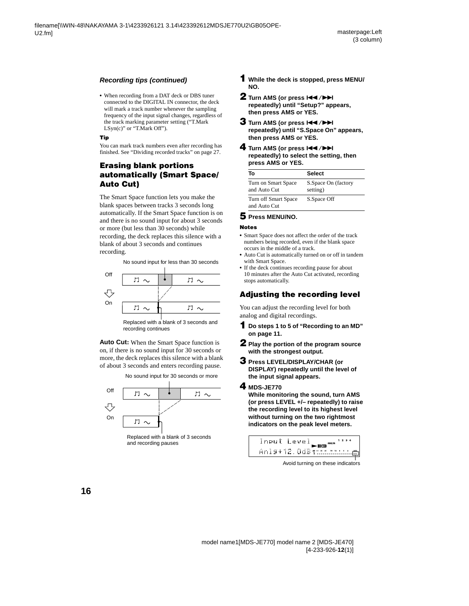#### **Recording tips (continued)**

**•** When recording from a DAT deck or DBS tuner connected to the DIGITAL IN connector, the deck will mark a track number whenever the sampling frequency of the input signal changes, regardless of the track marking parameter setting ("T.Mark LSyn(c)" or "T.Mark Off").

#### **Tip**

You can mark track numbers even after recording has finished. [See "Dividing recorded tracks" on page 27](#page-26-0).

#### <span id="page-15-2"></span>**Erasing blank portions automatically (Smart Space/ Auto Cut)**

The Smart Space function lets you make the blank spaces between tracks 3 seconds long automatically. If the Smart Space function is on and there is no sound input for about 3 seconds or more (but less than 30 seconds) while recording, the deck replaces this silence with a blank of about 3 seconds and continues recording.



recording continues

**Auto Cut:** When the Smart Space function is on, if there is no sound input for 30 seconds or more, the deck replaces this silence with a blank of about 3 seconds and enters recording pause.



- **1 While the deck is stopped, press MENU/ NO.**
- **2** Turn AMS (or press  $AA$ />> **repeatedly) until "Setup?" appears, then press AMS or YES.**
- **3** Turn AMS (or press  $\overline{+}$  />> **repeatedly) until "S.Space On" appears, then press AMS or YES.**
- **4** Turn AMS (or press  $\left|\frac{4}{2}\right|$ **repeatedly) to select the setting, then press AMS or YES.**

| Тο                                   | <b>Select</b>                   |
|--------------------------------------|---------------------------------|
| Turn on Smart Space<br>and Auto Cut  | S.Space On (factory<br>setting) |
| Turn off Smart Space<br>and Auto Cut | S.Space Off                     |

#### **5 Press MENU/NO.**

#### **Notes**

- **•** Smart Space does not affect the order of the track numbers being recorded, even if the blank space occurs in the middle of a track.
- **•** Auto Cut is automatically turned on or off in tandem with Smart Space.
- **•** If the deck continues recording pause for about 10 minutes after the Auto Cut activated, recording stops automatically.

#### <span id="page-15-1"></span>**Adjusting the recording level**

You can adjust the recording level for both analog and digital recordings.

- **1 Do steps [1](#page-10-16) to [5](#page-10-18) of ["Recording to an MD"](#page-10-1)  [on page 11](#page-10-1).**
- **2 Play the portion of the program source with the strongest output.**
- **3 Press LEVEL/DISPLAY/CHAR (or DISPLAY) repeatedly until the level of the input signal appears.**

#### <span id="page-15-0"></span>**4 MDS-JE770**

**While monitoring the sound, turn AMS (or press LEVEL +/– repeatedly) to raise the recording level to its highest level without turning on the two rightmost indicators on the peak level meters.**



Avoid turning on these indicators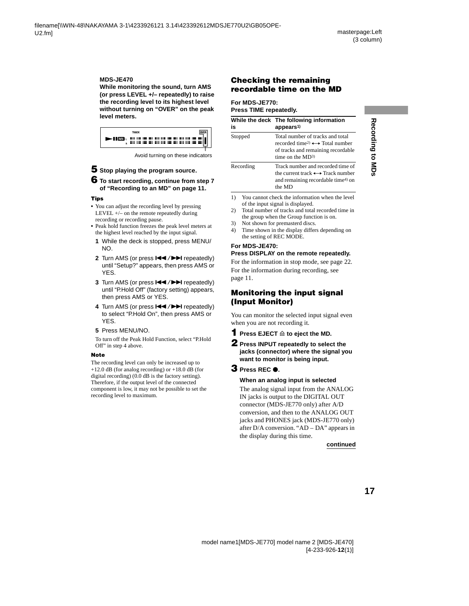#### **MDS-JE470**

**While monitoring the sound, turn AMS (or press LEVEL +/– repeatedly) to raise the recording level to its highest level without turning on "OVER" on the peak level meters.**



Avoid turning on these indicators

#### **5 Stop playing the program source.**

#### **6 To start recording, continue from step [7](#page-10-20)  of ["Recording to an MD" on page 11](#page-10-1).**

#### **Tips**

- You can adjust the recording level by pressing LEVEL  $+/-$  on the remote repeatedly during recording or recording pause.
- **•** Peak hold function freezes the peak level meters at the highest level reached by the input signal.
	- **1** While the deck is stopped, press MENU/ NO.
	- **2** Turn AMS (or press  $\leftarrow$  / $\rightarrow$  repeatedly) until "Setup?" appears, then press AMS or YES.
	- **3** Turn AMS (or press  $\leftarrow$  /> repeatedly) until "P.Hold Off" (factory setting) appears, then press AMS or YES.
	- 4 Turn AMS (or press  $\blacktriangleleft$  / $\blacktriangleright$ ) repeatedly) to select "P.Hold On", then press AMS or YES.
	- **5** Press MENU/NO.

<span id="page-16-0"></span>To turn off the Peak Hold Function, select "P.Hold Off" in step [4](#page-16-0) above.

#### **Note**

The recording level can only be increased up to +12.0 dB (for analog recording) or  $+18.0$  dB (for digital recording) (0.0 dB is the factory setting). Therefore, if the output level of the connected component is low, it may not be possible to set the recording level to maximum.

#### <span id="page-16-5"></span>**Checking the remaining recordable time on the MD**

#### **For MDS-JE770:**

**Press TIME repeatedly.**

| is        | While the deck The following information<br>appears <sup>1)</sup>                                                                                             |
|-----------|---------------------------------------------------------------------------------------------------------------------------------------------------------------|
| Stopped   | Total number of tracks and total<br>recorded time <sup>2)</sup> $\longleftrightarrow$ Total number<br>of tracks and remaining recordable<br>time on the $MD3$ |
| Recording | Track number and recorded time of<br>the current track $\longleftrightarrow$ Track number<br>and remaining recordable time <sup>4)</sup> on<br>the MD         |

- <span id="page-16-4"></span>1) You cannot check the information when the level of the input signal is displayed.
- <span id="page-16-1"></span>2) Total number of tracks and total recorded time in the group when the Group function is on.
- <span id="page-16-3"></span>3) Not shown for premasterd discs.
- <span id="page-16-2"></span>4) Time shown in the display differs depending on the setting of REC MODE.

#### **For MDS-JE470: Press DISPLAY on the remote repeatedly.**

For the information in stop mode, [see page 22](#page-21-7). For the information during recording, [see](#page-10-19)  [page 11](#page-10-19).

#### **Monitoring the input signal (Input Monitor)**

You can monitor the selected input signal even when you are not recording it.

**1** Press EJECT  $\triangleq$  to eject the MD.

**2 Press INPUT repeatedly to select the jacks (connector) where the signal you want to monitor is being input.**

#### **3 Press REC** <sup>z</sup>**.**

#### **When an analog input is selected**

The analog signal input from the ANALOG IN jacks is output to the DIGITAL OUT connector (MDS-JE770 only) after A/D conversion, and then to the ANALOG OUT jacks and PHONES jack (MDS-JE770 only) after D/A conversion. "AD – DA" appears in the display during this time.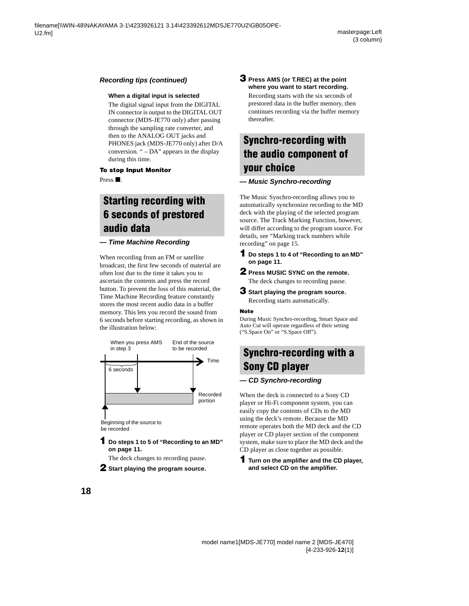#### **Recording tips (continued)**

#### **When a digital input is selected**

The digital signal input from the DIGITAL IN connector is output to the DIGITAL OUT connector (MDS-JE770 only) after passing through the sampling rate converter, and then to the ANALOG OUT jacks and PHONES jack (MDS-JE770 only) after D/A conversion. " – DA" appears in the display during this time.

#### **To stop Input Monitor**

 $Press$ .

## <span id="page-17-0"></span>**Starting recording with 6 seconds of prestored audio data**

#### **— Time Machine Recording**

When recording from an FM or satellite broadcast, the first few seconds of material are often lost due to the time it takes you to ascertain the contents and press the record button. To prevent the loss of this material, the Time Machine Recording feature constantly stores the most recent audio data in a buffer memory. This lets you record the sound from 6 seconds before starting recording, as shown in the illustration below:



be recorded

#### **1 Do steps [1](#page-10-16) to [5](#page-10-18) of ["Recording to an MD"](#page-10-1)  [on page 11](#page-10-1).**

The deck changes to recording pause.

**2 Start playing the program source.**

#### <span id="page-17-5"></span>**3 Press AMS (or T.REC) at the point where you want to start recording.**

Recording starts with the six seconds of prestored data in the buffer memory, then continues recording via the buffer memory thereafter.

## <span id="page-17-1"></span>**Synchro-recording with the audio component of your choice**

#### <span id="page-17-2"></span>**— Music Synchro-recording**

The Music Synchro-recording allows you to automatically synchronize recording to the MD deck with the playing of the selected program source. The Track Marking Function, however, will differ according to the program source. For details, [see "Marking track numbers while](#page-14-3)  [recording" on page 15.](#page-14-3)

- <span id="page-17-4"></span>**1 Do steps [1](#page-10-16) to [4](#page-10-17) of ["Recording to an MD"](#page-10-1)  [on page 11](#page-10-1).**
- **2 Press MUSIC SYNC on the remote.**

The deck changes to recording pause.

**3 Start playing the program source.**

Recording starts automatically.

#### **Note**

During Music Synchro-recording, Smart Space and Auto Cut will operate regardless of their setting ("S.Space On" or "S.Space Off").

## <span id="page-17-3"></span>**Synchro-recording with a Sony CD player**

#### **— CD Synchro-recording**

When the deck is connected to a Sony CD player or Hi-Fi component system, you can easily copy the contents of CDs to the MD using the deck's remote. Because the MD remote operates both the MD deck and the CD player or CD player section of the component system, make sure to place the MD deck and the CD player as close together as possible.

#### <span id="page-17-6"></span>**1 Turn on the amplifier and the CD player, and select CD on the amplifier.**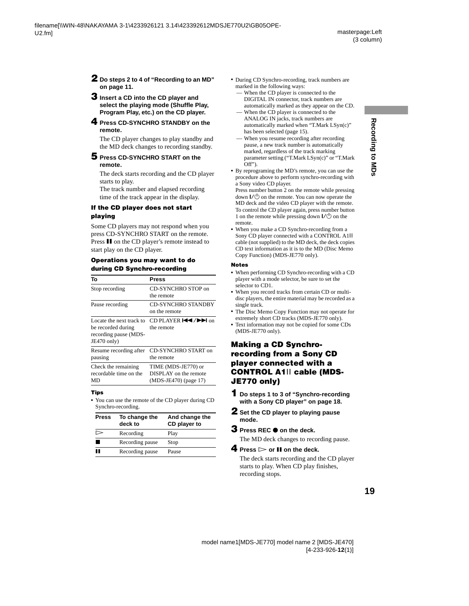- **2 Do steps [2](#page-10-21) to [4](#page-10-17) of ["Recording to an MD"](#page-10-1)  [on page 11.](#page-10-1)**
- <span id="page-18-3"></span>**3 Insert a CD into the CD player and select the playing mode (Shuffle Play, Program Play, etc.) on the CD player.**
- <span id="page-18-0"></span>**4 Press CD-SYNCHRO STANDBY on the remote.**

<span id="page-18-1"></span>The CD player changes to play standby and the MD deck changes to recording standby.

#### **5 Press CD-SYNCHRO START on the remote.**

The deck starts recording and the CD player starts to play.

The track number and elapsed recording time of the track appear in the display.

#### **If the CD player does not start playing**

Some CD players may not respond when you press CD-SYNCHRO START on the remote. Press II on the CD player's remote instead to start play on the CD player.

#### **Operations you may want to do during CD Synchro-recording**

<span id="page-18-2"></span>

| То                                                                                     | Press                                                                    |
|----------------------------------------------------------------------------------------|--------------------------------------------------------------------------|
| Stop recording                                                                         | CD-SYNCHRO STOP on<br>the remote                                         |
| Pause recording                                                                        | <b>CD-SYNCHRO STANDBY</b><br>on the remote                               |
| Locate the next track to<br>be recorded during<br>recording pause (MDS-<br>JE470 only) | CD PLAYER $\blacktriangleright$ / $\blacktriangleright$ on<br>the remote |
| Resume recording after<br>pausing                                                      | CD-SYNCHRO START on<br>the remote                                        |
| Check the remaining<br>recordable time on the<br>MD                                    | TIME (MDS-JE770) or<br>DISPLAY on the remote<br>(MDS-JE470) (page 17)    |

#### **Tips**

**•** You can use the remote of the CD player during CD Synchro-recording.

| <b>Press</b> | To change the<br>deck to | And change the<br>CD player to |
|--------------|--------------------------|--------------------------------|
|              | Recording                | Play                           |
|              | Recording pause          | Stop                           |
|              | Recording pause          | Pause                          |

- **•** During CD Synchro-recording, track numbers are marked in the following ways:
- When the CD player is connected to the DIGITAL IN connector, track numbers are automatically marked as they appear on the CD.
- When the CD player is connected to the ANALOG IN jacks, track numbers are automatically marked when "T.Mark LSyn(c)" has been selected [\(page 15\)](#page-14-4).
- When you resume recording after recording pause, a new track number is automatically marked, regardless of the track marking parameter setting ("T.Mark LSyn(c)" or "T.Mark  $Off$ ").
- **•** By reprograming the MD's remote, you can use the procedure above to perform synchro-recording with a Sony video CD player.

Press number button 2 on the remote while pressing down  $\mathsf{I}/\mathsf{U}$  on the remote. You can now operate the MD deck and the video CD player with the remote. To control the CD player again, press number button 1 on the remote while pressing down  $\mathsf{I}/\mathsf{U}$  on the remote.

**•** When you make a CD Synchro-recording from a Sony CD player connected with a CONTROL A1ΙΙ cable (not supplied) to the MD deck, the deck copies CD text information as it is to the MD (Disc Memo Copy Function) (MDS-JE770 only).

#### **Notes**

- **•** When performing CD Synchro-recording with a CD player with a mode selector, be sure to set the selector to CD1.
- **•** When you record tracks from certain CD or multidisc players, the entire material may be recorded as a single track.
- **•** The Disc Memo Copy Function may not operate for extremely short CD tracks (MDS-JE770 only).
- **•** Text information may not be copied for some CDs (MDS-JE770 only).

#### <span id="page-18-4"></span>**Making a CD Synchrorecording from a Sony CD player connected with a CONTROL A1**ΙΙ **cable (MDS-JE770 only)**

- **1 Do steps [1](#page-17-6) to [3](#page-18-3) of ["Synchro-recording](#page-17-3)  [with a Sony CD player" on page 18.](#page-17-3)**
- **2 Set the CD player to playing pause mode.**
- **3** Press REC  $\bullet$  on the deck.

The MD deck changes to recording pause.

**4** Press  $>$  or **II** on the deck.

The deck starts recording and the CD player starts to play. When CD play finishes, recording stops.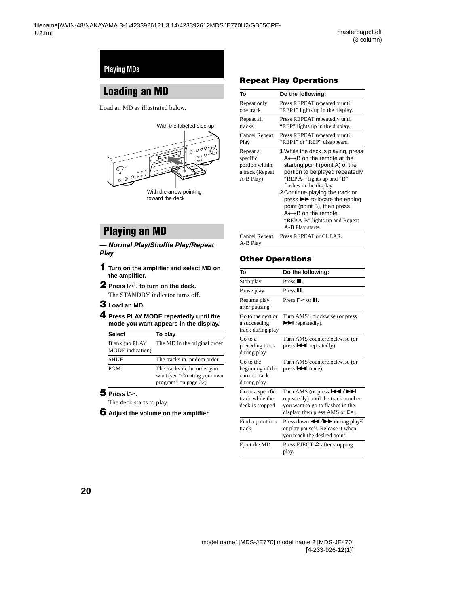## <span id="page-19-1"></span><span id="page-19-0"></span>**Loading an MD**

<span id="page-19-18"></span>Load an MD as illustrated below.



## <span id="page-19-3"></span><span id="page-19-2"></span>**Playing an MD**

**— Normal Play/Shuffle Play/Repeat Play**

- <span id="page-19-14"></span><span id="page-19-7"></span>**1 Turn on the amplifier and select MD on the amplifier.**
- **2** Press I/ $\cup$  to turn on the deck. The STANDBY indicator turns off.
- <span id="page-19-15"></span><span id="page-19-5"></span>**3 Load an MD.**
- **4 Press PLAY MODE repeatedly until the mode you want appears in the display.**

| <b>Select</b>                             | To play                                                                             |
|-------------------------------------------|-------------------------------------------------------------------------------------|
| Blank (no PLAY<br><b>MODE</b> indication) | The MD in the original order                                                        |
| <b>SHUF</b>                               | The tracks in random order                                                          |
| <b>PGM</b>                                | The tracks in the order you<br>want (see "Creating your own<br>program" on page 22) |

#### <span id="page-19-8"></span> $5$  **Press**  $\triangleright$ .

The deck starts to play.

**6 Adjust the volume on the amplifier.**

#### <span id="page-19-16"></span>**Repeat Play Operations**

<span id="page-19-6"></span><span id="page-19-4"></span>

| To                                                                     | Do the following:                                                                                                                                                                                                                                                                                                                                                                                                |
|------------------------------------------------------------------------|------------------------------------------------------------------------------------------------------------------------------------------------------------------------------------------------------------------------------------------------------------------------------------------------------------------------------------------------------------------------------------------------------------------|
| Repeat only                                                            | Press REPEAT repeatedly until                                                                                                                                                                                                                                                                                                                                                                                    |
| one track                                                              | "REP1" lights up in the display.                                                                                                                                                                                                                                                                                                                                                                                 |
| Repeat all                                                             | Press REPEAT repeatedly until                                                                                                                                                                                                                                                                                                                                                                                    |
| tracks                                                                 | "REP" lights up in the display.                                                                                                                                                                                                                                                                                                                                                                                  |
| Cancel Repeat                                                          | Press REPEAT repeatedly until                                                                                                                                                                                                                                                                                                                                                                                    |
| Play                                                                   | "REP1" or "REP" disappears.                                                                                                                                                                                                                                                                                                                                                                                      |
| Repeat a<br>specific<br>portion within<br>a track (Repeat<br>A-B Play) | 1 While the deck is playing, press<br>$A \rightarrow B$ on the remote at the<br>starting point (point A) of the<br>portion to be played repeatedly.<br>"REP A-" lights up and "B"<br>flashes in the display.<br><b>2</b> Continue playing the track or<br>press >> to locate the ending<br>point (point B), then press<br>$A \rightarrow B$ on the remote.<br>"REP A-B" lights up and Repeat<br>A-B Play starts. |
| Cancel Repeat<br>A-B Play                                              | Press REPEAT or CLEAR.                                                                                                                                                                                                                                                                                                                                                                                           |

#### <span id="page-19-17"></span>**Other Operations**

<span id="page-19-13"></span><span id="page-19-12"></span><span id="page-19-11"></span><span id="page-19-10"></span><span id="page-19-9"></span>

| To                                                            | Do the following:                                                                                                                                                  |
|---------------------------------------------------------------|--------------------------------------------------------------------------------------------------------------------------------------------------------------------|
| Stop play                                                     | Press $\blacksquare$ .                                                                                                                                             |
| Pause play                                                    | Press <sub>II.</sub>                                                                                                                                               |
| Resume play<br>after pausing                                  | Press $\triangleright$ or $\blacksquare$ .                                                                                                                         |
| Go to the next or<br>a succeeding<br>track during play        | Turn AMS <sup>1)</sup> clockwise (or press<br>$\blacktriangleright$ repeatedly).                                                                                   |
| Go to a<br>preceding track<br>during play                     | Turn AMS counterclockwise (or<br>press $\blacktriangleleft$ repeatedly).                                                                                           |
| Go to the<br>beginning of the<br>current track<br>during play | Turn AMS counterclockwise (or<br>press $\blacktriangleright$ once).                                                                                                |
| Go to a specific<br>track while the<br>deck is stopped        | Turn AMS (or press $H$ />><br>repeatedly) until the track number<br>you want to go to flashes in the<br>display, then press AMS or $\triangleright$ .              |
| Find a point in a<br>track                                    | Press down $\blacktriangleleft$ / $\blacktriangleright$ during play <sup>2)</sup><br>or play pause <sup>3</sup> ). Release it when<br>you reach the desired point. |
| Eject the MD                                                  | Press EJECT $\triangleq$ after stopping<br>play.                                                                                                                   |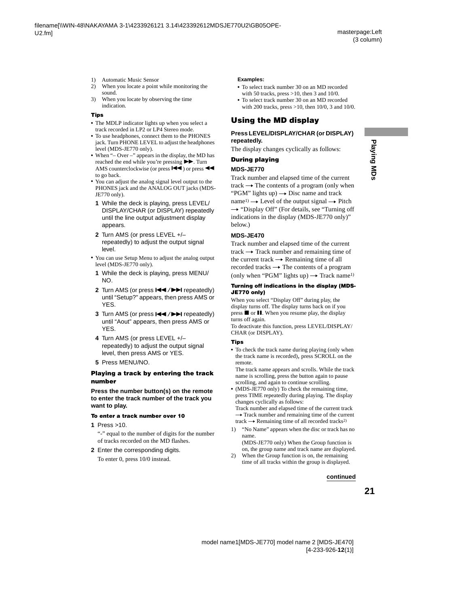- <span id="page-20-5"></span><span id="page-20-1"></span><span id="page-20-0"></span>1) Automatic Music Sensor
- <span id="page-20-6"></span>2) When you locate a point while monitoring the sound.
- <span id="page-20-7"></span>3) When you locate by observing the time indication.

#### **Tips**

- **•** The MDLP indicator lights up when you select a track recorded in LP2 or LP4 Stereo mode.
- **•** To use headphones, connect them to the PHONES jack. Turn PHONE LEVEL to adjust the headphones level (MDS-JE770 only).
- When "– Over –" appears in the display, the MD has reached the end while you're pressing  $\blacktriangleright$ . Turn AMS counterclockwise (or press  $\blacktriangleleft$ ) or press  $\blacktriangleleft$ to go back.
- <span id="page-20-2"></span>**•** You can adjust the analog signal level output to the PHONES jack and the ANALOG OUT jacks (MDS-JE770 only).
	- **1** While the deck is playing, press LEVEL/ DISPLAY/CHAR (or DISPLAY) repeatedly until the line output adjustment display appears.
	- **2** Turn AMS (or press LEVEL +/– repeatedly) to adjust the output signal level.
- <span id="page-20-3"></span>**•** You can use Setup Menu to adjust the analog output level (MDS-JE770 only).
	- **1** While the deck is playing, press MENU/ NO.
	- **2** Turn AMS (or press  $\leftarrow$  />> repeatedly) until "Setup?" appears, then press AMS or YES.
	- **3** Turn AMS (or press  $\leftarrow$  /> repeatedly) until "Aout" appears, then press AMS or YES.
	- **4** Turn AMS (or press LEVEL +/– repeatedly) to adjust the output signal level, then press AMS or YES.
	- **5** Press MENU/NO.

#### **Playing a track by entering the track number**

**Press the number button(s) on the remote to enter the track number of the track you want to play.**

#### <span id="page-20-11"></span>**To enter a track number over 10**

**1** Press >10.

"-" equal to the number of digits for the number of tracks recorded on the MD flashes.

**2** Enter the corresponding digits.

To enter 0, press 10/0 instead.

#### **Examples:**

- **•** To select track number 30 on an MD recorded with 50 tracks, press  $>10$ , then 3 and 10/0.
- **•** To select track number 30 on an MD recorded with 200 tracks, press >10, then 10/0, 3 and 10/0.

#### **Using the MD display**

#### **Press LEVEL/DISPLAY/CHAR (or DISPLAY) repeatedly.**

The display changes cyclically as follows:

## **During playing**

#### **MDS-JE770**

Track number and elapsed time of the current track  $\rightarrow$  The contents of a program (only when "PGM" lights up)  $\rightarrow$  Disc name and track name<sup>1)</sup>  $\rightarrow$  Level of the output signal  $\rightarrow$  Pitch  $\rightarrow$  "Display Off" (For details, see "Turning off") [indications in the display \(MDS-JE770 only\)"](#page-20-10) below.)

#### **MDS-JE470**

Track number and elapsed time of the current track  $\rightarrow$  Track number and remaining time of the current track  $\rightarrow$  Remaining time of all recorded tracks  $\rightarrow$  The contents of a program (only when "PGM" lights up)  $\rightarrow$  Track name<sup>[1\)](#page-20-8)</sup>

#### <span id="page-20-10"></span>**Turning off indications in the display (MDS-JE770 only)**

When you select "Display Off" during play, the display turns off. The display turns back on if you press  $\blacksquare$  or  $\blacksquare$ . When you resume play, the display turns off again.

To deactivate this function, press LEVEL/DISPLAY/ CHAR (or DISPLAY).

#### <span id="page-20-4"></span>**Tips**

**•** To check the track name during playing (only when the track name is recorded), press SCROLL on the remote.

The track name appears and scrolls. While the track name is scrolling, press the button again to pause scrolling, and again to continue scrolling.

• (MDS-JE770 only) To check the remaining time, press TIME repeatedly during playing. The display changes cyclically as follows:

Track number and elapsed time of the current track  $\rightarrow$  Track number and remaining time of the current track  $\rightarrow$  Remaining time of all recorded tracks<sup>2)</sup>

<span id="page-20-8"></span>1) "No Name" appears when the disc or track has no name.

(MDS-JE770 only) When the Group function is on, the group name and track name are displayed.

<span id="page-20-9"></span>2) When the Group function is on, the remaining time of all tracks within the group is displayed.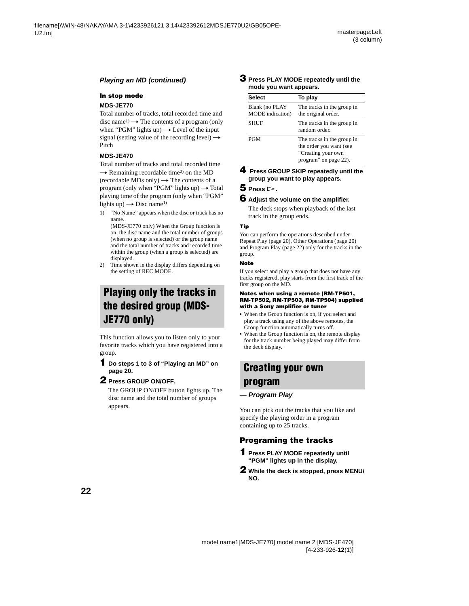#### **Playing an MD (continued)**

#### <span id="page-21-7"></span>**In stop mode**

#### **MDS-JE770**

Total number of tracks, total recorded time and disc name<sup>1)</sup>  $\rightarrow$  The contents of a program (only when "PGM" lights up)  $\rightarrow$  Level of the input signal (setting value of the recording level)  $\rightarrow$ Pitch

#### **MDS-JE470**

Total number of tracks and total recorded time  $\rightarrow$  Remaining recordable time<sup>[2\)](#page-21-9)</sup> on the MD  $(recordable MDs only) \rightarrow The contents of a$ program (only when "PGM" lights up)  $\rightarrow$  Total playing time of the program (only when "PGM" lights up)  $\rightarrow$  Disc name<sup>1)</sup>

<span id="page-21-8"></span>1) "No Name" appears when the disc or track has no name.

(MDS-JE770 only) When the Group function is on, the disc name and the total number of groups (when no group is selected) or the group name and the total number of tracks and recorded time within the group (when a group is selected) are displayed.

<span id="page-21-9"></span><span id="page-21-6"></span>2) Time shown in the display differs depending on the setting of REC MODE.

## <span id="page-21-0"></span>**Playing only the tracks in the desired group (MDS-JE770 only)**

This function allows you to listen only to your favorite tracks which you have registered into a group.

#### <span id="page-21-3"></span>**1 Do steps [1](#page-19-14) to [3](#page-19-15) of ["Playing an MD" on](#page-19-2)  [page 20](#page-19-2).**

#### **2 Press GROUP ON/OFF.**

The GROUP ON/OFF button lights up. The disc name and the total number of groups appears.

#### **3 Press PLAY MODE repeatedly until the mode you want appears.**

| <b>Select</b>                      | To play                                                                                              |
|------------------------------------|------------------------------------------------------------------------------------------------------|
| Blank (no PLAY<br>MODE indication) | The tracks in the group in<br>the original order.                                                    |
| <b>SHUF</b>                        | The tracks in the group in<br>random order.                                                          |
| <b>PGM</b>                         | The tracks in the group in<br>the order you want (see<br>"Creating your own<br>program" on page 22). |

#### <span id="page-21-4"></span><span id="page-21-2"></span>**4 Press GROUP SKIP repeatedly until the group you want to play appears.**

#### $5$  **Press**  $\triangleright$ .

#### **6 Adjust the volume on the amplifier.**

The deck stops when playback of the last track in the group ends.

#### **Tip**

You can perform the operations described under Repeat Play [\(page 20\)](#page-19-16), Other Operations [\(page 20\)](#page-19-17) and Program Play [\(page 22\)](#page-21-1) only for the tracks in the group.

#### **Note**

If you select and play a group that does not have any tracks registered, play starts from the first track of the first group on the MD.

#### **Notes when using a remote (RM-TP501, RM-TP502, RM-TP503, RM-TP504) supplied with a Sony amplifier or tuner**

- **•** When the Group function is on, if you select and play a track using any of the above remotes, the Group function automatically turns off.
- **•** When the Group function is on, the remote display for the track number being played may differ from the deck display.

## <span id="page-21-1"></span>**Creating your own program**

#### **— Program Play**

You can pick out the tracks that you like and specify the playing order in a program containing up to 25 tracks.

#### **Programing the tracks**

- <span id="page-21-5"></span>**1 Press PLAY MODE repeatedly until "PGM" lights up in the display.**
- <span id="page-21-10"></span>**2 While the deck is stopped, press MENU/ NO.**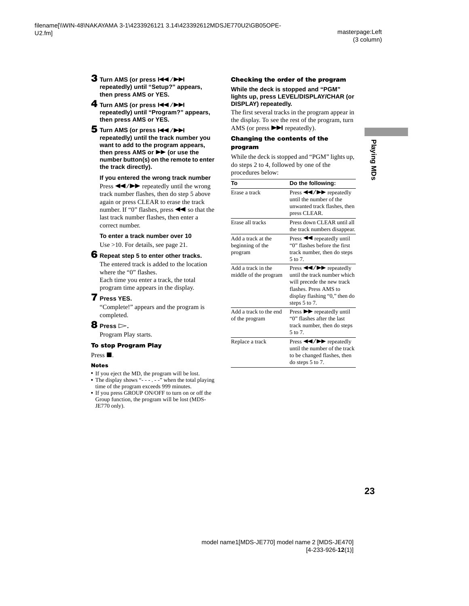- **3** Turn AMS (or press  $\leftarrow$  />> **repeatedly) until "Setup?" appears, then press AMS or YES.**
- <span id="page-22-3"></span><span id="page-22-1"></span>**4** Turn AMS (or press  $\left|\frac{4}{\sqrt{2}}\right|$ **repeatedly) until "Program?" appears, then press AMS or YES.**
- <span id="page-22-2"></span>**5** Turn AMS (or press  $\left|\frac{4}{3}\right|$ **repeatedly) until the track number you want to add to the program appears, then press AMS or ▶▶ (or use the number button(s) on the remote to enter the track directly).**

<span id="page-22-0"></span>**If you entered the wrong track number** Press  $\blacktriangleleft$  / $\blacktriangleright$  repeatedly until the wrong track number flashes, then do step [5](#page-22-2) above again or press CLEAR to erase the track number. If "0" flashes, press  $\blacktriangleleft$  so that the last track number flashes, then enter a correct number.

#### **To enter a track number over 10**

Use >10. For details, [see page 21.](#page-20-11)

#### **6 Repeat step [5](#page-22-2) to enter other tracks.**

The entered track is added to the location where the "0" flashes. Each time you enter a track, the total

program time appears in the display.

#### <span id="page-22-4"></span>**7 Press YES.**

"Complete!" appears and the program is completed.

#### **8 Press**  $\triangleright$ .

Program Play starts.

#### **To stop Program Play**

Press  $\blacksquare$ .

#### **Notes**

- **•** If you eject the MD, the program will be lost.
- The display shows "- - . -" when the total playing time of the program exceeds 999 minutes.
- **•** If you press GROUP ON/OFF to turn on or off the Group function, the program will be lost (MDS-JE770 only).

#### **Checking the order of the program**

#### **While the deck is stopped and "PGM" lights up, press LEVEL/DISPLAY/CHAR (or DISPLAY) repeatedly.**

The first several tracks in the program appear in the display. To see the rest of the program, turn AMS (or press  $\blacktriangleright$  repeatedly).

#### **Changing the contents of the program**

While the deck is stopped and "PGM" lights up, do steps [2](#page-21-10) to [4,](#page-22-3) followed by one of the procedures below:

| To                                                | Do the following:                                                                                                                                                                                      |
|---------------------------------------------------|--------------------------------------------------------------------------------------------------------------------------------------------------------------------------------------------------------|
| Erase a track                                     | Press $\blacktriangleleft$ / $\blacktriangleright$ repeatedly<br>until the number of the<br>unwanted track flashes, then<br>press CLEAR.                                                               |
| Erase all tracks                                  | Press down CLEAR until all<br>the track numbers disappear.                                                                                                                                             |
| Add a track at the<br>beginning of the<br>program | Press $\blacktriangleleft$ repeatedly until<br>"0" flashes before the first<br>track number, then do steps<br>5 to 7.                                                                                  |
| Add a track in the<br>middle of the program       | Press $\blacktriangleleft$ / $\blacktriangleright$ repeatedly<br>until the track number which<br>will precede the new track<br>flashes. Press AMS to<br>display flashing "0," then do<br>steps 5 to 7. |
| Add a track to the end<br>of the program          | Press $\blacktriangleright$ repeatedly until<br>"0" flashes after the last<br>track number, then do steps<br>5 to 7.                                                                                   |
| Replace a track                                   | Press $\blacktriangleleft$ / $\blacktriangleright$ repeatedly<br>until the number of the track<br>to be changed flashes, then<br>do steps $5$ to $7$ .                                                 |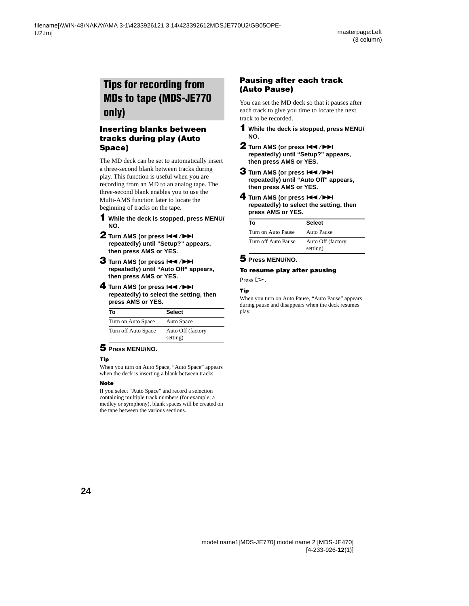## <span id="page-23-0"></span>**Tips for recording from MDs to tape (MDS-JE770 only)**

#### <span id="page-23-1"></span>**Inserting blanks between tracks during play (Auto Space)**

The MD deck can be set to automatically insert a three-second blank between tracks during play. This function is useful when you are recording from an MD to an analog tape. The three-second blank enables you to use the Multi-AMS function later to locate the beginning of tracks on the tape.

- **1 While the deck is stopped, press MENU/ NO.**
- **2** Turn AMS (or press  $\leftarrow$  />> **repeatedly) until "Setup?" appears, then press AMS or YES.**
- **3** Turn AMS (or press  $AA$  / $\blacktriangleright$ ) **repeatedly) until "Auto Off" appears, then press AMS or YES.**
- **4** Turn AMS (or press  $\left|\frac{4}{2}\right|$ **repeatedly) to select the setting, then press AMS or YES.**

| Т٥                  | <b>Select</b>     |
|---------------------|-------------------|
| Turn on Auto Space  | Auto Space        |
| Turn off Auto Space | Auto Off (factory |
|                     | setting)          |

#### **5 Press MENU/NO.**

#### **Tip**

When you turn on Auto Space, "Auto Space" appears when the deck is inserting a blank between tracks.

#### **Note**

If you select "Auto Space" and record a selection containing multiple track numbers (for example, a medley or symphony), blank spaces will be created on the tape between the various sections.

#### **Pausing after each track (Auto Pause)**

You can set the MD deck so that it pauses after each track to give you time to locate the next track to be recorded.

- **1 While the deck is stopped, press MENU/ NO.**
- **2** Turn AMS (or press  $\left|\frac{4}{4}\right\rangle$ **repeatedly) until "Setup?" appears, then press AMS or YES.**
- **3** Turn AMS (or press  $144$ / $\rightarrow$ **repeatedly) until "Auto Off" appears, then press AMS or YES.**
- **4** Turn AMS (or press  $\leftarrow$  />> **repeatedly) to select the setting, then press AMS or YES.**

| Т٥                  | <b>Select</b>                 |
|---------------------|-------------------------------|
| Turn on Auto Pause  | Auto Pause                    |
| Turn off Auto Pause | Auto Off (factory<br>setting) |

#### **5 Press MENU/NO.**

#### **To resume play after pausing**

Press  $\triangleright$ .

#### **Tip**

When you turn on Auto Pause, "Auto Pause" appears during pause and disappears when the deck resumes play.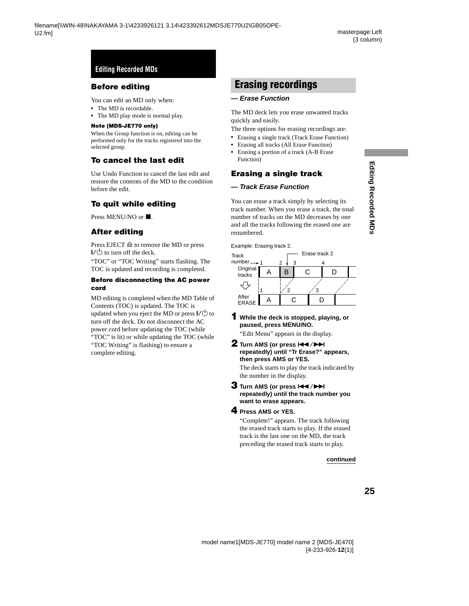### <span id="page-24-0"></span>**Before editing**

You can edit an MD only when:

- **•** The MD is recordable.
- **•** The MD play mode is normal play.

#### **Note (MDS-JE770 only)**

When the Group function is on, editing can be performed only for the tracks registered into the selected group.

#### **To cancel the last edit**

Use Undo Function to cancel the last edit and restore the contents of the MD to the condition before the edit.

#### <span id="page-24-2"></span>**To quit while editing**

Press MENU/NO or  $\blacksquare$ .

#### <span id="page-24-4"></span>**After editing**

Press EJECT  $\triangleq$  to remove the MD or press  $\mathsf{I}/\mathsf{I}$  to turn off the deck.

"TOC" or "TOC Writing" starts flashing. The TOC is updated and recording is completed.

#### **Before disconnecting the AC power cord**

MD editing is completed when the MD Table of Contents (TOC) is updated. The TOC is updated when you eject the MD or press  $\mathsf{I}/\mathsf{U}$  to turn off the deck. Do not disconnect the AC power cord before updating the TOC (while "TOC" is lit) or while updating the TOC (while "TOC Writing" is flashing) to ensure a complete editing.

## <span id="page-24-1"></span>**Erasing recordings**

#### **— Erase Function**

The MD deck lets you erase unwanted tracks quickly and easily.

The three options for erasing recordings are:

- **•** Erasing a single track (Track Erase Function)
- **•** Erasing all tracks (All Erase Function)
- **•** Erasing a portion of a track (A-B Erase Function)

#### **Erasing a single track**

#### **— Track Erase Function**

You can erase a track simply by selecting its track number. When you erase a track, the total number of tracks on the MD decreases by one and all the tracks following the erased one are renumbered.

Example: Erasing track 2.



#### **1 While the deck is stopped, playing, or paused, press MENU/NO.**

<span id="page-24-3"></span>"Edit Menu" appears in the display.

**2** Turn AMS (or press  $\left|\frac{4}{2}\right|$ **repeatedly) until "Tr Erase?" appears, then press AMS or YES.**

The deck starts to play the track indicated by the number in the display.

#### **3** Turn AMS (or press  $\leftarrow$  />> **repeatedly) until the track number you want to erase appears.**

#### <span id="page-24-5"></span>**4 Press AMS or YES.**

"Complete!" appears. The track following the erased track starts to play. If the erased track is the last one on the MD, the track preceding the erased track starts to play.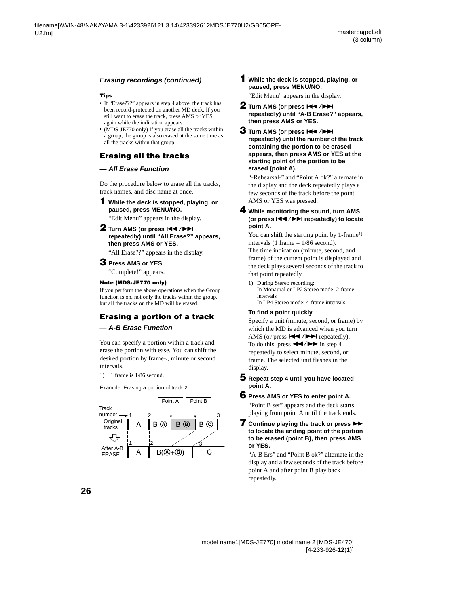#### **Erasing recordings (continued)**

#### **Tips**

- **•** If "Erase???" appears in step [4](#page-24-5) above, the track has been record-protected on another MD deck. If you still want to erase the track, press AMS or YES again while the indication appears.
- **•** (MDS-JE770 only) If you erase all the tracks within a group, the group is also erased at the same time as all the tracks within that group.

#### <span id="page-25-4"></span>**Erasing all the tracks**

#### **— All Erase Function**

Do the procedure below to erase all the tracks, track names, and disc name at once.

**1 While the deck is stopped, playing, or paused, press MENU/NO.**

"Edit Menu" appears in the display.

**2** Turn AMS (or press  $\left|\frac{4}{4}\right|$ **repeatedly) until "All Erase?" appears, then press AMS or YES.**

"All Erase??" appears in the display.

#### **3 Press AMS or YES.**

"Complete!" appears.

#### **Note (MDS-JE770 only)**

If you perform the above operations when the Group function is on, not only the tracks within the group, but all the tracks on the MD will be erased.

#### **Erasing a portion of a track — A-B Erase Function**

You can specify a portion within a track and erase the portion with ease. You can shift the desired portion by frame<sup>1)</sup>, minute or second intervals.

<span id="page-25-2"></span>1) 1 frame is 1/86 second.

Example: Erasing a portion of track 2.



**1 While the deck is stopped, playing, or paused, press MENU/NO.**

"Edit Menu" appears in the display.

- **2** Turn AMS (or press  $\overline{A}$  />> **repeatedly) until "A-B Erase?" appears, then press AMS or YES.**
- **3** Turn AMS (or press  $\leftarrow$  />> **repeatedly) until the number of the track containing the portion to be erased appears, then press AMS or YES at the starting point of the portion to be erased (point A).**

"-Rehearsal-" and "Point A ok?" alternate in the display and the deck repeatedly plays a few seconds of the track before the point AMS or YES was pressed.

#### <span id="page-25-1"></span>**4 While monitoring the sound, turn AMS**  (or press  $\left|\frac{4}{\sqrt{2}}\right|$  / $\left|\frac{1}{\sqrt{2}}\right|$  repeatedly) to locate **point A.**

You can shift the starting point by 1-frame<sup>1)</sup> intervals (1 frame  $= 1/86$  second).

The time indication (minute, second, and frame) of the current point is displayed and the deck plays several seconds of the track to that point repeatedly.

<span id="page-25-3"></span>1) During Stereo recording: In Monaural or LP2 Stereo mode: 2-frame intervals In LP4 Stereo mode: 4-frame intervals

#### **To find a point quickly**

<span id="page-25-0"></span>Specify a unit (minute, second, or frame) by which the MD is advanced when you turn AMS (or press ./> repeatedly). To do this, press  $\blacktriangleleft$  / $\blacktriangleright$  in step [4](#page-25-1) repeatedly to select minute, second, or

frame. The selected unit flashes in the display.

**5 Repeat step [4](#page-25-1) until you have located point A.**

## **6 Press AMS or YES to enter point A.**

"Point B set" appears and the deck starts playing from point A until the track ends.

#### **7** Continue playing the track or press  $\rightarrow$ **to locate the ending point of the portion to be erased (point B), then press AMS or YES.**

"A-B Ers" and "Point B ok?" alternate in the display and a few seconds of the track before point A and after point B play back repeatedly.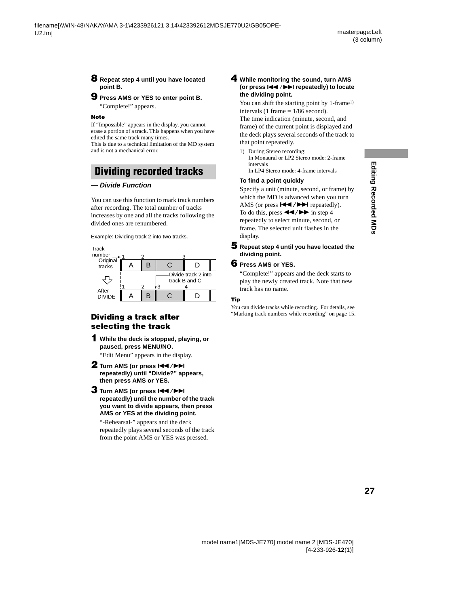#### **8 Repeat step [4](#page-25-1) until you have located point B.**

#### **9 Press AMS or YES to enter point B.**

"Complete!" appears.

#### **Note**

<span id="page-26-3"></span>If "Impossible" appears in the display, you cannot erase a portion of a track. This happens when you have edited the same track many times.

This is due to a technical limitation of the MD system and is not a mechanical error.

## <span id="page-26-0"></span>**Dividing recorded tracks**

#### **— Divide Function**

You can use this function to mark track numbers after recording. The total number of tracks increases by one and all the tracks following the divided ones are renumbered.

Example: Dividing track 2 into two tracks.



#### **Dividing a track after selecting the track**

**1 While the deck is stopped, playing, or paused, press MENU/NO.**

"Edit Menu" appears in the display.

- **2** Turn AMS (or press  $\leftarrow$  />> **repeatedly) until "Divide?" appears, then press AMS or YES.**
- **3** Turn AMS (or press  $\left|\frac{4}{2}\right|$ **repeatedly) until the number of the track you want to divide appears, then press AMS or YES at the dividing point.**

"-Rehearsal-" appears and the deck repeatedly plays several seconds of the track from the point AMS or YES was pressed.

#### <span id="page-26-2"></span>**4 While monitoring the sound, turn AMS (or press**  $\left|\frac{4}{\sqrt{2}}\right|$  **/>>I** repeatedly) to locate **the dividing point.**

You can shift the starting point by 1-frame<sup>[1\)](#page-26-1)</sup> intervals (1 frame  $= 1/86$  second).

The time indication (minute, second, and frame) of the current point is displayed and the deck plays several seconds of the track to that point repeatedly.

<span id="page-26-1"></span>1) During Stereo recording: In Monaural or LP2 Stereo mode: 2-frame intervals In LP4 Stereo mode: 4-frame intervals

#### **To find a point quickly**

Specify a unit (minute, second, or frame) by which the MD is advanced when you turn AMS (or press ./> repeatedly). To do this, press  $\blacktriangleleft \blacktriangleleft \blacktriangleleft \blacktriangleright \blacktriangleright$  in step [4](#page-26-2) repeatedly to select minute, second, or frame. The selected unit flashes in the display.

**5 Repeat step [4](#page-26-2) until you have located the dividing point.**

#### **6 Press AMS or YES.**

"Complete!" appears and the deck starts to play the newly created track. Note that new track has no name.

#### **Tip**

You can divide tracks while recording. For details, [see](#page-14-3)  ["Marking track numbers while recording" on page 15.](#page-14-3)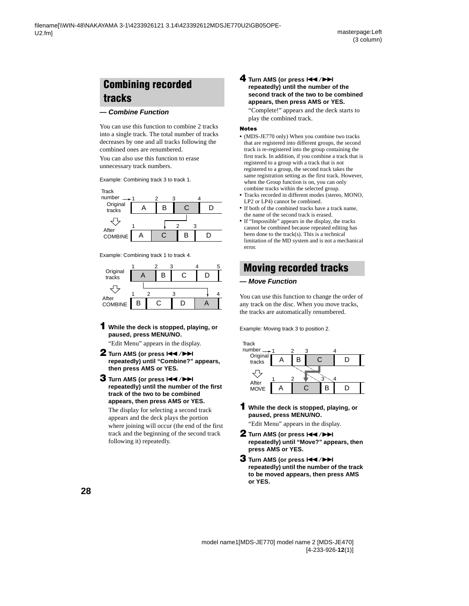## <span id="page-27-0"></span>**Combining recorded tracks**

#### <span id="page-27-1"></span>**— Combine Function**

You can use this function to combine 2 tracks into a single track. The total number of tracks decreases by one and all tracks following the combined ones are renumbered.

You can also use this function to erase unnecessary track numbers.

Example: Combining track 3 to track 1.



Example: Combining track 1 to track 4.



**1 While the deck is stopped, playing, or paused, press MENU/NO.**

"Edit Menu" appears in the display.

- **2** Turn AMS (or press  $\leftarrow$  />> **repeatedly) until "Combine?" appears, then press AMS or YES.**
- **3** Turn AMS (or press  $\leftarrow$  />> **repeatedly) until the number of the first track of the two to be combined appears, then press AMS or YES.**

The display for selecting a second track appears and the deck plays the portion where joining will occur (the end of the first track and the beginning of the second track following it) repeatedly.

#### **4** Turn AMS (or press  $\overline{+}$   $\rightarrow$ **repeatedly) until the number of the second track of the two to be combined appears, then press AMS or YES.**

"Complete!" appears and the deck starts to play the combined track.

#### **Notes**

- **•** (MDS-JE770 only) When you combine two tracks that are registered into different groups, the second track is re-registered into the group containing the first track. In addition, if you combine a track that is registered to a group with a track that is not registered to a group, the second track takes the same registration setting as the first track. However, when the Group function is on, you can only combine tracks within the selected group.
- **•** Tracks recorded in different modes (stereo, MONO, LP2 or LP4) cannot be combined.
- **•** If both of the combined tracks have a track name, the name of the second track is erased.
- <span id="page-27-4"></span>**•** If "Impossible" appears in the display, the tracks cannot be combined because repeated editing has been done to the track(s). This is a technical limitation of the MD system and is not a mechanical error.

## <span id="page-27-2"></span>**Moving recorded tracks**

#### <span id="page-27-3"></span>**— Move Function**

You can use this function to change the order of any track on the disc. When you move tracks, the tracks are automatically renumbered.

Example: Moving track 3 to position 2.



**1 While the deck is stopped, playing, or paused, press MENU/NO.**

"Edit Menu" appears in the display.

- **2** Turn AMS (or press  $\left|\frac{4}{4}\right\rangle$ **repeatedly) until "Move?" appears, then press AMS or YES.**
- **3** Turn AMS (or press  $144$ / $\rightarrow$ **repeatedly) until the number of the track to be moved appears, then press AMS or YES.**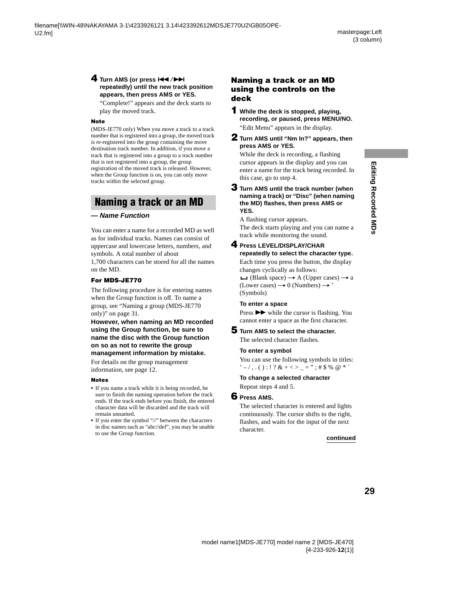#### **4** Turn AMS (or press  $\overline{A}$  />> **repeatedly) until the new track position appears, then press AMS or YES.**

"Complete!" appears and the deck starts to play the moved track.

#### **Note**

(MDS-JE770 only) When you move a track to a track number that is registered into a group, the moved track is re-registered into the group containing the move destination track number. In addition, if you move a track that is registered into a group to a track number that is not registered into a group, the group registration of the moved track is released. However, when the Group function is on, you can only move tracks within the selected group.

## <span id="page-28-0"></span>**Naming a track or an MD**

#### **— Name Function**

You can enter a name for a recorded MD as well as for individual tracks. Names can consist of uppercase and lowercase letters, numbers, and symbols. A total number of about

1,700 characters can be stored for all the names on the MD.

#### **For MDS-JE770**

The following procedure is for entering names when the Group function is off. To name a group, [see "Naming a group \(MDS-JE770](#page-30-0)  [only\)" on page 31.](#page-30-0)

#### **However, when naming an MD recorded using the Group function, be sure to name the disc with the Group function on so as not to rewrite the group management information by mistake.**

For details on the group management information, see page [12.](#page-11-2)

#### **Notes**

- **•** If you name a track while it is being recorded, be sure to finish the naming operation before the track ends. If the track ends before you finish, the entered character data will be discarded and the track will remain unnamed.
- **•** If you enter the symbol "//" between the characters in disc names such as "abc//def", you may be unable to use the Group function.

#### <span id="page-28-5"></span><span id="page-28-3"></span>**Naming a track or an MD using the controls on the deck**

**1 While the deck is stopped, playing, recording, or paused, press MENU/NO.**  "Edit Menu" appears in the display.

**2 Turn AMS until "Nm In?" appears, then press AMS or YES.**

<span id="page-28-6"></span>While the deck is recording, a flashing cursor appears in the display and you can enter a name for the track being recorded. In this case, go to step [4.](#page-28-1)

#### **3 Turn AMS until the track number (when naming a track) or "Disc" (when naming the MD) flashes, then press AMS or YES.**

A flashing cursor appears. The deck starts playing and you can name a track while monitoring the sound.

#### <span id="page-28-1"></span>**4 Press LEVEL/DISPLAY/CHAR repeatedly to select the character type.**

Each time you press the button, the display changes cyclically as follows:

**i.i.** (Blank space)  $\rightarrow$  A (Upper cases)  $\rightarrow$  a (Lower cases)  $\rightarrow$  0 (Numbers)  $\rightarrow$  ' (Symbols)

#### **To enter a space**

Press  $\rightarrow \rightarrow \rightarrow$  while the cursor is flashing. You cannot enter a space as the first character.

#### <span id="page-28-2"></span>**5 Turn AMS to select the character.**

The selected character flashes.

#### **To enter a symbol**

You can use the following symbols in titles:  $'$  – /,.():!? & + < > \_ = ";#\$ % @ \* `

#### **To change a selected character**

Repeat steps [4](#page-28-1) and [5.](#page-28-2)

#### <span id="page-28-4"></span>**6 Press AMS.**

The selected character is entered and lights continuously. The cursor shifts to the right, flashes, and waits for the input of the next character.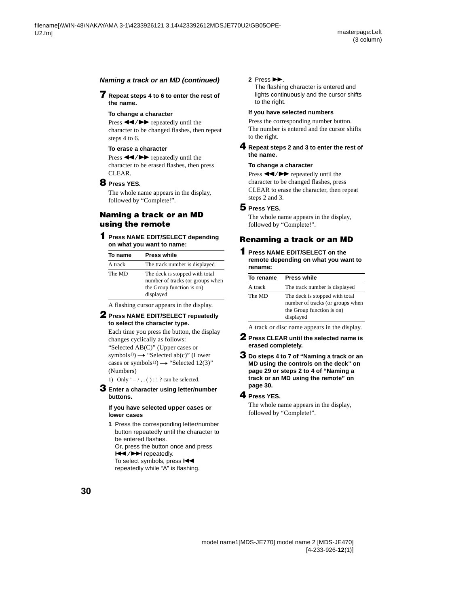#### **Naming a track or an MD (continued)**

#### <span id="page-29-8"></span>**7 Repeat steps [4](#page-28-1) to [6](#page-28-4) to enter the rest of the name.**

#### <span id="page-29-14"></span>**To change a character**

<span id="page-29-16"></span>Press  $\blacktriangleleft$  / $\blacktriangleright$  repeatedly until the character to be changed flashes, then repeat steps [4](#page-28-1) to [6](#page-28-4).

#### **To erase a character**

Press  $\blacktriangleleft \blacktriangleleft \blacktriangleleft \blacktriangleright \blacktriangleright$  repeatedly until the character to be erased flashes, then press CLEAR.

#### <span id="page-29-11"></span>**8 Press YES.**

The whole name appears in the display, followed by "Complete!".

#### <span id="page-29-4"></span>**Naming a track or an MD using the remote**

#### **1 Press NAME EDIT/SELECT depending on what you want to name:**

| To name | <b>Press while</b>                                                                                           |
|---------|--------------------------------------------------------------------------------------------------------------|
| A track | The track number is displayed                                                                                |
| The MD  | The deck is stopped with total<br>number of tracks (or groups when<br>the Group function is on)<br>displayed |

<span id="page-29-2"></span>A flashing cursor appears in the display.

#### <span id="page-29-7"></span>**2 Press NAME EDIT/SELECT repeatedly to select the character type.**

Each time you press the button, the display changes cyclically as follows:

"Selected AB(C)" (Upper cases or  $symbol(s^{1}) \rightarrow$  "Selected ab(c)" (Lower cases or symbols<sup>1)</sup>)  $\rightarrow$  "Selected 12(3)" (Numbers)

<span id="page-29-1"></span>1) Only  $\prime$  –  $/$ , . ( ) : ! ? can be selected.

#### <span id="page-29-6"></span><span id="page-29-5"></span>**3 Enter a character using letter/number buttons.**

#### **If you have selected upper cases or lower cases**

**1** Press the corresponding letter/number button repeatedly until the character to be entered flashes.

Or, press the button once and press **EXAMPLE** repeatedly.

To select symbols, press  $H \blacktriangleleft$ repeatedly while "A" is flashing.

#### 2 Press  $\blacktriangleright$ .

The flashing character is entered and lights continuously and the cursor shifts to the right.

#### <span id="page-29-15"></span>**If you have selected numbers**

Press the corresponding number button. The number is entered and the cursor shifts to the right.

#### <span id="page-29-9"></span>**4 Repeat steps [2](#page-29-7) and [3](#page-29-5) to enter the rest of the name.**

#### <span id="page-29-0"></span>**To change a character**

Press  $\blacktriangleleft$  / $\blacktriangleright$  repeatedly until the character to be changed flashes, press CLEAR to erase the character, then repeat steps [2](#page-29-7) and [3.](#page-29-5)

#### <span id="page-29-12"></span>**5 Press YES.**

The whole name appears in the display, followed by "Complete!".

#### <span id="page-29-3"></span>**Renaming a track or an MD**

**1 Press NAME EDIT/SELECT on the remote depending on what you want to rename:**

| To rename | <b>Press while</b>                                                                                           |
|-----------|--------------------------------------------------------------------------------------------------------------|
| A track   | The track number is displayed                                                                                |
| The MD    | The deck is stopped with total<br>number of tracks (or groups when<br>the Group function is on)<br>displayed |

A track or disc name appears in the display.

- <span id="page-29-10"></span>**2 Press CLEAR until the selected name is erased completely.**
- **3 Do steps [4](#page-28-1) to [7](#page-29-8) of ["Naming a track or an](#page-28-3)  [MD using the controls on the deck" on](#page-28-3)  [page 29](#page-28-3) or steps [2](#page-29-7) to [4](#page-29-9) of ["Naming a](#page-29-4)  [track or an MD using the remote" on](#page-29-4)  [page 30](#page-29-4).**

#### <span id="page-29-13"></span>**4 Press YES.**

The whole name appears in the display, followed by "Complete!".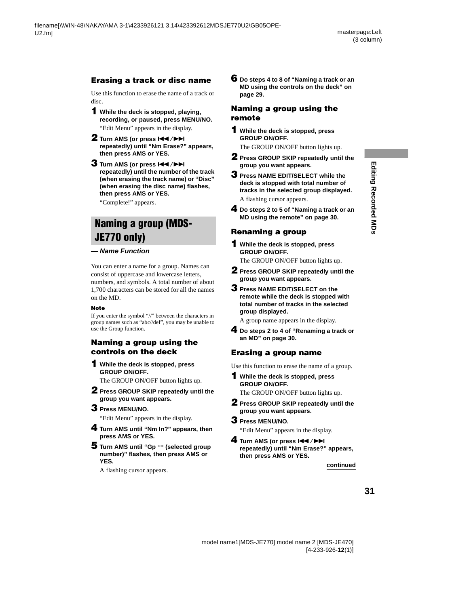## <span id="page-30-4"></span>**Erasing a track or disc name**

Use this function to erase the name of a track or disc.

**1 While the deck is stopped, playing, recording, or paused, press MENU/NO.**

"Edit Menu" appears in the display.

- **2** Turn AMS (or press  $\overline{144}$  / $\overline{11}$ **repeatedly) until "Nm Erase?" appears, then press AMS or YES.**
- **3** Turn AMS (or press  $\leftarrow$  />> **repeatedly) until the number of the track (when erasing the track name) or "Disc" (when erasing the disc name) flashes, then press AMS or YES.**

"Complete!" appears.

## <span id="page-30-0"></span>**Naming a group (MDS-JE770 only)**

#### **— Name Function**

You can enter a name for a group. Names can consist of uppercase and lowercase letters, numbers, and symbols. A total number of about 1,700 characters can be stored for all the names on the MD.

#### **Note**

If you enter the symbol "//" between the characters in group names such as "abc//def", you may be unable to use the Group function.

#### **Naming a group using the controls on the deck**

<span id="page-30-2"></span>**1 While the deck is stopped, press GROUP ON/OFF.** The GROUP ON/OFF button lights up.

<span id="page-30-3"></span>

- **2 Press GROUP SKIP repeatedly until the group you want appears.**
- **3 Press MENU/NO.**

"Edit Menu" appears in the display.

- **4 Turn AMS until "Nm In?" appears, then press AMS or YES.**
- **5 Turn AMS until "Gp** \*\* **(selected group number)" flashes, then press AMS or YES.**

A flashing cursor appears.

**6 Do steps [4](#page-28-1) to [8](#page-29-11) of ["Naming a track or an](#page-28-3)  [MD using the controls on the deck" on](#page-28-3)  [page 29.](#page-28-3)**

#### **Naming a group using the remote**

**1 While the deck is stopped, press GROUP ON/OFF.**

The GROUP ON/OFF button lights up.

- **2 Press GROUP SKIP repeatedly until the group you want appears.**
- **3 Press NAME EDIT/SELECT while the deck is stopped with total number of tracks in the selected group displayed.** A flashing cursor appears.
- **4 Do steps [2](#page-29-7) to [5](#page-29-12) of ["Naming a track or an](#page-29-4)  [MD using the remote" on page 30](#page-29-4).**

## **Renaming a group**

**1 While the deck is stopped, press GROUP ON/OFF.**

The GROUP ON/OFF button lights up.

- <span id="page-30-1"></span>**2 Press GROUP SKIP repeatedly until the group you want appears.**
- **3 Press NAME EDIT/SELECT on the remote while the deck is stopped with total number of tracks in the selected group displayed.**

A group name appears in the display.

**4 Do steps [2](#page-29-10) to [4](#page-29-13) of ["Renaming a track or](#page-29-3)  [an MD" on page 30](#page-29-3).**

## **Erasing a group name**

Use this function to erase the name of a group.

**1 While the deck is stopped, press GROUP ON/OFF.**

The GROUP ON/OFF button lights up.

- **2 Press GROUP SKIP repeatedly until the group you want appears.**
- **3 Press MENU/NO.**

"Edit Menu" appears in the display.

**4** Turn AMS (or press  $\leftarrow$  />> **repeatedly) until "Nm Erase?" appears, then press AMS or YES.**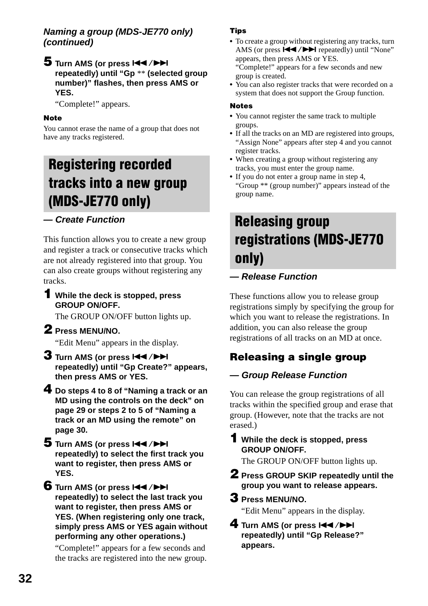#### **Naming a group (MDS-JE770 only) (continued)**

#### **5** Turn AMS (or press  $AA$ />> **repeatedly) until "Gp** \*\* **(selected group number)" flashes, then press AMS or YES.**

"Complete!" appears.

#### **Note**

You cannot erase the name of a group that does not have any tracks registered.

## <span id="page-31-0"></span>**Registering recorded tracks into a new group (MDS-JE770 only)**

This function allows you to create a new group and register a track or consecutive trac[ks](#page-28-6) w[hic](#page-29-14)h are not already registered [into that group. You](#page-28-5)  can also create groups wi[thout register](#page-28-5)ing any tracks.

**1 While the deck is st[opped, pres](#page-29-16)s GROUP ON/OFF.**

The GROUP ON/OFF button lights up.

#### **2 Press MENU/NO.**

"Edit Menu" appears in the display.

- **3** Turn AMS (or press  $\left|\frac{4}{2}\right|$ **repeatedly) until "Gp Create?" appears, then press AMS or YES.**
- **4 Do steps 4 to 8 of "Naming a track or an MD using the controls on the deck" on page 29 or steps 2 to 5 of "Naming a track or an MD using the remote" on page 30.**
- **5** Turn AMS (or press  $144$ / $\rightarrow$ **repeatedly) to select the first track you want to register, then press AMS or YES.**

**6** Turn AMS (or press  $\left|\frac{4}{4}\right\rangle$ **repeatedly) to select the last track you want to register, then press AMS or YES. (When registering only one track, simply press AMS or YES again without performing any other operations.)**

"Complete!" appears for a few seconds and the tracks are registered into the new group.

#### **Tips**

**•** To create a group without registering any tracks, turn AMS (or press  $\blacktriangleleft$  / $\blacktriangleright$  repeatedly) until "None" appears, then press AMS or YES. "Complete!" appears for a few seconds and new

group is created.

**•** You can also register tracks that were recorded on a system that does not support the Group function.

#### **Notes**

- **•** You cannot register the same track to multiple groups.
- **•** If all the tracks on an MD are registered into groups, "Assign None" appears after step 4 and you cannot register tracks.
- **•** When creating a group without registering any tracks, you must enter the group name.
- <span id="page-31-1"></span>**•** If you do not enter a group name in step 4, "Group \*\* (group number)" appears instead of the group name.

## **— Create Function Releasing group registrations (MDS-JE770 [only\)](#page-28-5)**

#### **[— Release Func](#page-29-16)tion**

These functions allow you to release group registrations simply by specifying the group for which you want to release the registrations. In addition, you can also release the group registrations of all tracks on an MD at once.

#### **Releasing a single group**

#### **— Group Release Function**

You can release the group registrations of all tracks within the specified group and erase that group. (However, note that the tracks are not erased.)

#### **1 While the deck is stopped, press GROUP ON/OFF.**

The GROUP ON/OFF button lights up.

**2 Press GROUP SKIP repeatedly until the group you want to release appears.**

#### **3 Press MENU/NO.**

"Edit Menu" appears in the display.

**4** Turn AMS (or press  $\overline{A}$  />> **repeatedly) until "Gp Release?" appears.**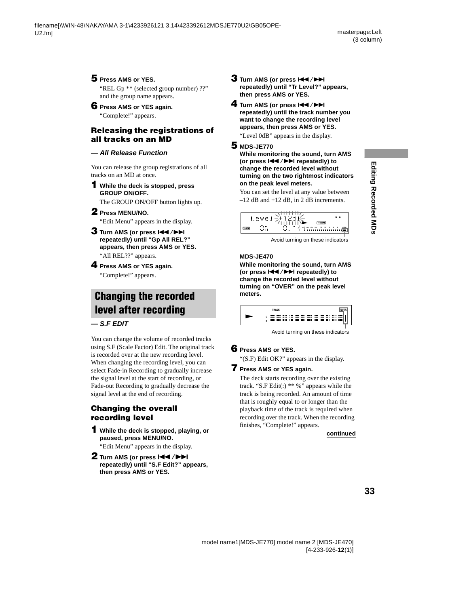## **5 Press AMS or YES.**

"REL Gp \*\* (selected group number) ??" and the group name appears.

#### **6 Press AMS or YES again.**

"Complete!" appears.

#### <span id="page-32-1"></span>**Releasing the registrations of all tracks on an MD**

#### **— All Release Function**

You can release the group registrations of all tracks on an MD at once.

#### **1 While the deck is stopped, press GROUP ON/OFF.**

The GROUP ON/OFF button lights up.

#### **2 Press MENU/NO.**

"Edit Menu" appears in the display.

- **3** Turn AMS (or press  $\leftarrow$  />> **repeatedly) until "Gp All REL?" appears, then press AMS or YES.** "All REL??" appears.
- **4 Press AMS or YES again.** "Complete!" appears.

## <span id="page-32-0"></span>**Changing the recorded level after recording**

**— S.F EDIT**

You can change the volume of recorded tracks using S.F (Scale Factor) Edit. The original track is recorded over at the new recording level. When changing the recording level, you can select Fade-in Recording to gradually increase the signal level at the start of recording, or Fade-out Recording to gradually decrease the signal level at the end of recording.

#### **Changing the overall recording level**

**then press AMS or YES.**

- **1 While the deck is stopped, playing, or paused, press MENU/NO.** "Edit Menu" appears in the display.
- **2** Turn AMS (or press  $\blacktriangleleft$  />> **repeatedly) until "S.F Edit?" appears,**
- **3** Turn AMS (or press  $\left|\frac{4}{4}\right|$ **repeatedly) until "Tr Level?" appears, then press AMS or YES.**
- **4** Turn AMS (or press  $\left|\frac{4}{\sqrt{2}}\right|$ **repeatedly) until the track number you want to change the recording level appears, then press AMS or YES.** "Level 0dB" appears in the display.

#### **5 MDS-JE770**

**While monitoring the sound, turn AMS (or press**  $\left|\frac{4}{\sqrt{2}}\right|$  **repeatedly) to change the recorded level without turning on the two rightmost indicators on the peak level meters.**

You can set the level at any value between –12 dB and +12 dB, in 2 dB increments.



Avoid turning on these indicators

#### **MDS-JE470**

**While monitoring the sound, turn AMS (or press**  $\left|\frac{4}{4}\right\rangle$  **>> repeatedly) to change the recorded level without turning on "OVER" on the peak level meters.**



Avoid turning on these indicators

## **6 Press AMS or YES.**

"(S.F) Edit OK?" appears in the display.

#### **7 Press AMS or YES again.**

The deck starts recording over the existing track. "S.F Edit(:)  $**\%$ " appears while the track is being recorded. An amount of time that is roughly equal to or longer than the playback time of the track is required when recording over the track. When the recording finishes, "Complete!" appears.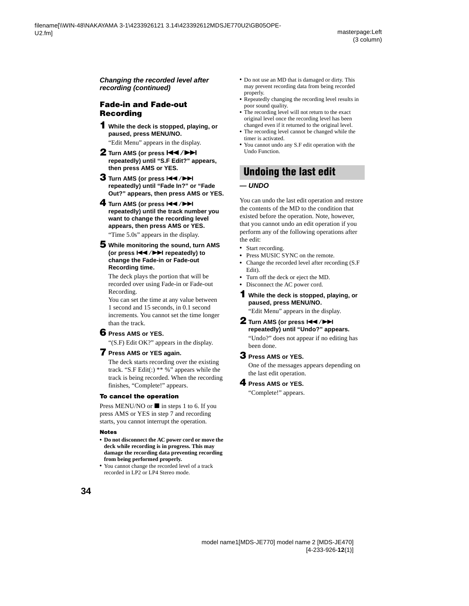**Changing the recorded level after recording (continued)**

#### **Fade-in and Fade-out Recording**

- <span id="page-33-2"></span>**1 While the deck is stopped, playing, or paused, press MENU/NO.** "Edit Menu" appears in the display.
- **2** Turn AMS (or press  $\left|\frac{4}{4}\right\rangle$ **repeatedly) until "S.F Edit?" appears, then press AMS or YES.**
- **3** Turn AMS (or press  $\leftarrow$  />> **repeatedly) until "Fade In?" or "Fade Out?" appears, then press AMS or YES.**

#### **4** Turn AMS (or press  $AA$ / **repeatedly) until the track number you want to change the recording level appears, then press AMS or YES.**

"Time 5.0s" appears in the display.

**5 While monitoring the sound, turn AMS (or press**  $\left|\frac{4}{\sqrt{2}}\right|$  **repeatedly) to change the Fade-in or Fade-out Recording time.**

The deck plays the portion that will be recorded over using Fade-in or Fade-out Recording.

You can set the time at any value between 1 second and 15 seconds, in 0.1 second increments. You cannot set the time longer than the track.

#### <span id="page-33-3"></span>**6 Press AMS or YES.**

"(S.F) Edit OK?" appears in the display.

#### <span id="page-33-4"></span>**7 Press AMS or YES again.**

The deck starts recording over the existing track. "S.F Edit(:)  $**\%$ " appears while the track is being recorded. When the recording finishes, "Complete!" appears.

#### **To cancel the operation**

Press MENU/NO or  $\blacksquare$  in steps [1](#page-33-2) to [6](#page-33-3). If you press AMS or YES in step [7](#page-33-4) and recording starts, you cannot interrupt the operation.

#### **Notes**

- **• Do not disconnect the AC power cord or move the deck while recording is in progress. This may damage the recording data preventing recording from being performed properly.**
- **•** You cannot change the recorded level of a track recorded in LP2 or LP4 Stereo mode.
- **•** Do not use an MD that is damaged or dirty. This may prevent recording data from being recorded properly.
- **•** Repeatedly changing the recording level results in poor sound quality.
- The recording level will not return to the exact original level once the recording level has been changed even if it returned to the original level.
- **•** The recording level cannot be changed while the timer is activated.
- **•** You cannot undo any S.F edit operation with the Undo Function.

## <span id="page-33-0"></span>**Undoing the last edit**

#### **— UNDO**

You can undo the last edit operation and restore the contents of the MD to the condition that existed before the operation. Note, however, that you cannot undo an edit operation if you perform any of the following operations after the edit:

- <span id="page-33-1"></span>**•** Start recording.
- **•** Press MUSIC SYNC on the remote.
- **•** Change the recorded level after recording (S.F Edit).
- **•** Turn off the deck or eject the MD.
- **•** Disconnect the AC power cord.
- **1 While the deck is stopped, playing, or paused, press MENU/NO.**

"Edit Menu" appears in the display.

**2** Turn AMS (or press  $\left|\frac{4}{4}\right\rangle$ **repeatedly) until "Undo?" appears.**

"Undo?" does not appear if no editing has been done.

#### **3 Press AMS or YES.**

One of the messages appears depending on the last edit operation.

#### **4 Press AMS or YES.**

"Complete!" appears.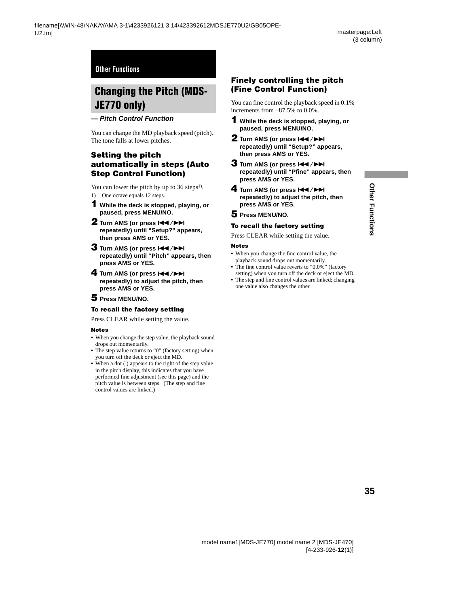## <span id="page-34-1"></span><span id="page-34-0"></span>**Changing the Pitch (MDS-JE770 only)**

#### <span id="page-34-2"></span>**— Pitch Control Function**

You can change the MD playback speed (pitch). The tone falls at lower pitches.

#### **Setting the pitch automatically in steps (Auto Step Control Function)**

You can lower the pitch by up to  $36 \text{ steps}^{1}$ .

- <span id="page-34-5"></span><span id="page-34-3"></span>1) One octave equals 12 steps.
- **1 While the deck is stopped, playing, or paused, press MENU/NO.**
- **2** Turn AMS (or press  $\leftarrow$  />> **repeatedly) until "Setup?" appears, then press AMS or YES.**
- <span id="page-34-4"></span>**3** Turn AMS (or press  $AA$ />> **repeatedly) until "Pitch" appears, then press AMS or YES.**
- **4** Turn AMS (or press  $\left|\frac{4}{2}\right|$ **repeatedly) to adjust the pitch, then press AMS or YES.**

#### **5 Press MENU/NO.**

#### **To recall the factory setting**

Press CLEAR while setting the value.

#### **Notes**

- **•** When you change the step value, the playback sound drops out momentarily.
- The step value returns to "0" (factory setting) when you turn off the deck or eject the MD.
- **•** When a dot (.) appears to the right of the step value in the pitch display, this indicates that you have performed fine adjustment (see this page) and the pitch value is between steps. (The step and fine control values are linked.)

#### **Finely controlling the pitch (Fine Control Function)**

You can fine control the playback speed in 0.1% increments from –87.5% to 0.0%.

- **1 While the deck is stopped, playing, or paused, press MENU/NO.**
- **2** Turn AMS (or press  $AA$ />> **repeatedly) until "Setup?" appears, then press AMS or YES.**
- **3** Turn AMS (or press  $\leftarrow$  />> **repeatedly) until "Pfine" appears, then press AMS or YES.**
- **4** Turn AMS (or press  $AA$ />> **repeatedly) to adjust the pitch, then press AMS or YES.**
- **5 Press MENU/NO.**

#### **To recall the factory setting**

Press CLEAR while setting the value.

#### **Notes**

- **•** When you change the fine control value, the playback sound drops out momentarily.
- **•** The fine control value reverts to "0.0%" (factory setting) when you turn off the deck or eject the MD.
- **•** The step and fine control values are linked; changing one value also changes the other.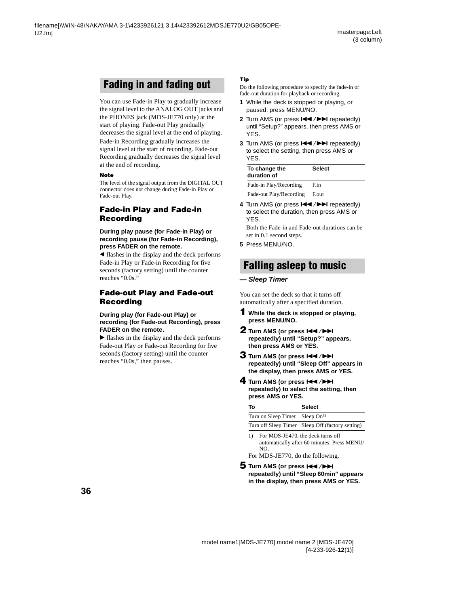## <span id="page-35-0"></span>**Fading in and fading out**

You can use Fade-in Play to gradually increase the signal level to the ANALOG OUT jacks and the PHONES jack (MDS-JE770 only) at the start of playing. Fade-out Play gradually decreases the signal level at the end of playing. Fade-in Recording gradually increases the signal level at the start of recording. Fade-out Recording gradually decreases the signal level at the end of recording.

#### **Note**

The level of the signal output from the DIGITAL OUT connector does not change during Fade-in Play or Fade-out Play.

#### <span id="page-35-3"></span>**Fade-in Play and Fade-in Recording**

#### **During play pause (for Fade-in Play) or recording pause (for Fade-in Recording), press FADER on the remote.**

 $\blacktriangleleft$  flashes in the display and the deck performs Fade-in Play or Fade-in Recording for five seconds (factory setting) until the counter reaches "0.0s."

#### **Fade-out Play and Fade-out Recording**

#### **During play (for Fade-out Play) or recording (for Fade-out Recording), press FADER on the remote.**

 $\blacktriangleright$  flashes in the display and the deck performs Fade-out Play or Fade-out Recording for five seconds (factory setting) until the counter reaches "0.0s," then pauses.

#### **Tip**

Do the following procedure to specify the fade-in or fade-out duration for playback or recording.

- **1** While the deck is stopped or playing, or paused, press MENU/NO.
- **2** Turn AMS (or press  $\leftarrow$  />> repeatedly) until "Setup?" appears, then press AMS or YES.
- **3** Turn AMS (or press  $\leftarrow$  />> repeatedly) to select the setting, then press AMS or YES.

| To change the<br>duration of | <b>Select</b> |
|------------------------------|---------------|
| Fade-in Play/Recording       | F.in          |
| Fade-out Play/Recording      | F.out         |

4 Turn AMS (or press  $\leftarrow$  / $\rightarrow$  repeatedly) to select the duration, then press AMS or YES.

Both the Fade-in and Fade-out durations can be set in 0.1 second steps.

**5** Press MENU/NO.

## <span id="page-35-1"></span>**Falling asleep to music**

#### <span id="page-35-2"></span>**— Sleep Timer**

You can set the deck so that it turns off automatically after a specified duration.

- **1 While the deck is stopped or playing, press MENU/NO.**
- **2** Turn AMS (or press  $\leftarrow$  />> **repeatedly) until "Setup?" appears, then press AMS or YES.**
- **3** Turn AMS (or press  $\leftarrow$  />> **repeatedly) until "Sleep Off" appears in the display, then press AMS or YES.**
- **4** Turn AMS (or press  $\left|\frac{4}{\sqrt{2}}\right|$ **repeatedly) to select the setting, then press AMS or YES.**

| То                                         | <b>Select</b>                                    |
|--------------------------------------------|--------------------------------------------------|
| Turn on Sleep Timer Sleep On <sup>1)</sup> |                                                  |
|                                            | Turn off Sleep Timer Sleep Off (factory setting) |
|                                            | $For MDC_1E470$ the deck turns off               |

<span id="page-35-4"></span>1) For MDS-JE470, the deck turns off automatically after 60 minutes. Press MENU/ NO.

For MDS-JE770, do the following.

**5** Turn AMS (or press  $AA$ />> **repeatedly) until "Sleep 60min" appears in the display, then press AMS or YES.**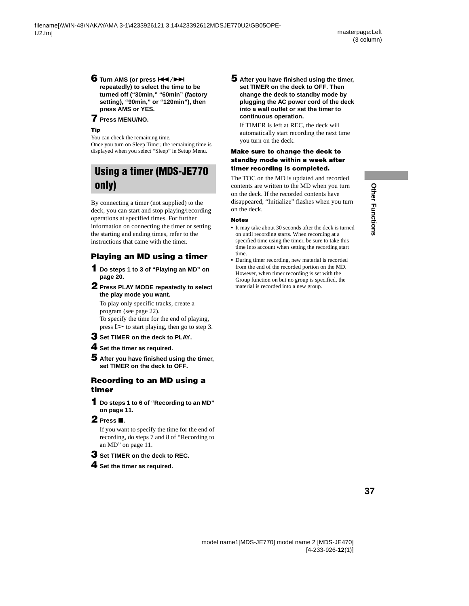## **6** Turn AMS (or press  $\left|\frac{4}{\sqrt{2}}\right|$

**repeatedly) to select the time to be turned off ("30min," "60min" (factory setting), "90min," or "120min"), then press AMS or YES.**

#### **7 Press MENU/NO.**

#### **Tip**

You can check the remaining time. Once you turn on Sleep Timer, the remaining time is displayed when you select "Sleep" in Setup Menu.

## <span id="page-36-0"></span>**Using a timer (MDS-JE770 only)**

By connecting a timer (not supplied) to the deck, you can start and stop playing/recording operations at specified times. For further information on connecting the timer or setting the starting and ending times, refer to the instructions that came with the timer.

## **Playing an MD using a timer**

- <span id="page-36-3"></span>**1 Do steps [1](#page-19-14) to [3](#page-19-15) of ["Playing an MD" on](#page-19-2)  [page 20.](#page-19-2)**
- <span id="page-36-4"></span>**2 Press PLAY MODE repeatedly to select the play mode you want.**

To play only specific tracks, create a program ([see page 22\)](#page-21-1). To specify the time for the end of playing,  $press$   $\triangleright$  to start playing, then go to step [3.](#page-36-6)

- <span id="page-36-6"></span>**3 Set TIMER on the deck to PLAY.**
- **4 Set the timer as required.**
- **5 After you have finished using the timer, set TIMER on the deck to OFF.**

#### **Recording to an MD using a timer**

- <span id="page-36-5"></span>**1 Do steps [1](#page-10-16) to [6](#page-10-14) of ["Recording to an MD"](#page-10-1)  [on page 11.](#page-10-1)**
- **2 Press** ■

If you want to specify the time for the end of recording, do steps [7](#page-10-20) and [8](#page-10-15) of ["Recording to](#page-10-1)  [an MD" on page 11](#page-10-1).

- **3 Set TIMER on the deck to REC.**
- **4 Set the timer as required.**

**5 After you have finished using the timer, set TIMER on the deck to OFF. Then change the deck to standby mode by plugging the AC power cord of the deck into a wall outlet or set the timer to continuous operation.**

If TIMER is left at REC, the deck will automatically start recording the next time you turn on the deck.

#### **Make sure to change the deck to standby mode within a week after timer recording is completed.**

<span id="page-36-1"></span>The TOC on the MD is updated and recorded contents are written to the MD when you turn on the deck. If the recorded contents have disappeared, "Initialize" flashes when you turn on the deck.

#### **Notes**

- <span id="page-36-2"></span>**•** It may take about 30 seconds after the deck is turned on until recording starts. When recording at a specified time using the timer, be sure to take this time into account when setting the recording start time.
- **•** During timer recording, new material is recorded from the end of the recorded portion on the MD. However, when timer recording is set with the Group function on but no group is specified, the material is recorded into a new group.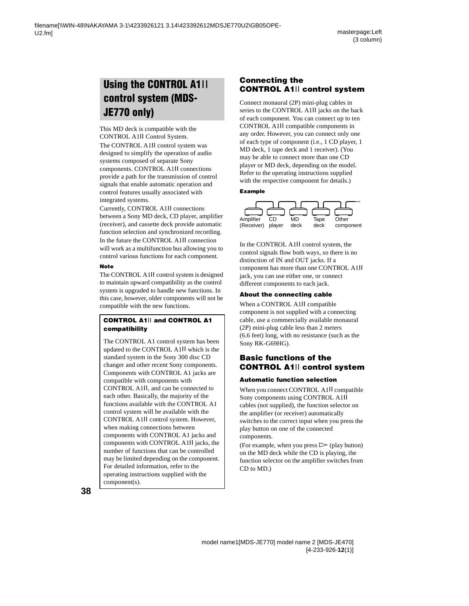## <span id="page-37-1"></span><span id="page-37-0"></span>**Using the CONTROL A1**ΙΙ **control system (MDS-JE770 only)**

This MD deck is compatible with the CONTROL A1ΙΙ Control System. The CONTROL A1ΙΙ control system was designed to simplify the operation of audio systems composed of separate Sony components. CONTROL A1ΙΙ connections provide a path for the transmission of control signals that enable automatic operation and control features usually associated with integrated systems.

Currently, CONTROL A1ΙΙ connections between a Sony MD deck, CD player, amplifier (receiver), and cassette deck provide automatic function selection and synchronized recording. In the future the CONTROL A1ΙΙ connection will work as a multifunction bus allowing you to control various functions for each component.

#### **Note**

The CONTROL A1ΙΙ control system is designed to maintain upward compatibility as the control system is upgraded to handle new functions. In this case, however, older components will not be compatible with the new functions.

#### **CONTROL A1**ΙΙ **and CONTROL A1 compatibility**

The CONTROL A1 control system has been updated to the CONTROL A1ΙΙ which is the standard system in the Sony 300 disc CD changer and other recent Sony components. Components with CONTROL A1 jacks are compatible with components with CONTROL A1ΙΙ, and can be connected to each other. Basically, the majority of the functions available with the CONTROL A1 control system will be available with the CONTROL A1ΙΙ control system. However, when making connections between components with CONTROL A1 jacks and components with CONTROL A1ΙΙ jacks, the number of functions that can be controlled may be limited depending on the component. For detailed information, refer to the operating instructions supplied with the component(s).

#### **Connecting the CONTROL A1**ΙΙ **control system**

Connect monaural (2P) mini-plug cables in series to the CONTROL A1ΙΙ jacks on the back of each component. You can connect up to ten CONTROL A1ΙΙ compatible components in any order. However, you can connect only one of each type of component (i.e., 1 CD player, 1 MD deck, 1 tape deck and 1 receiver). (You may be able to connect more than one CD player or MD deck, depending on the model. Refer to the operating instructions supplied with the respective component for details.)

#### **Example**



In the CONTROL A1ΙΙ control system, the control signals flow both ways, so there is no distinction of IN and OUT jacks. If a component has more than one CONTROL A1ΙΙ jack, you can use either one, or connect different components to each jack.

#### **About the connecting cable**

When a CONTROL A1ΙΙ compatible component is not supplied with a connecting cable, use a commercially available monaural (2P) mini-plug cable less than 2 meters (6.6 feet) long, with no resistance (such as the Sony RK-G69HG).

#### **Basic functions of the CONTROL A1**ΙΙ **control system**

#### **Automatic function selection**

When you connect CONTROL A1ΙΙ compatible Sony components using CONTROL A1ΙΙ cables (not supplied), the function selector on the amplifier (or receiver) automatically switches to the correct input when you press the play button on one of the connected components.

(For example, when you press  $\triangleright$  (play button) on the MD deck while the CD is playing, the function selector on the amplifier switches from CD to MD.)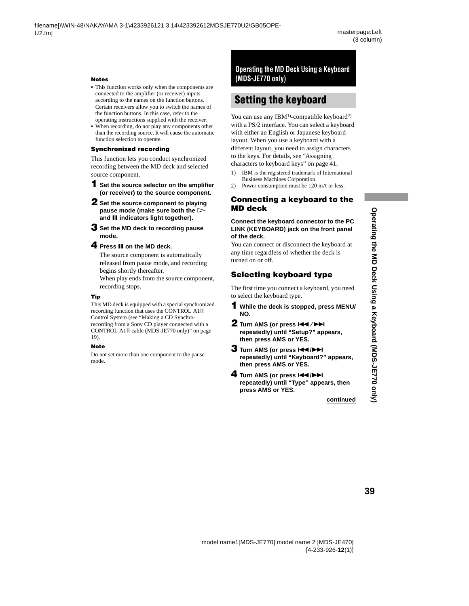# Operating the MD Deck Using a Keyboard (MDS-JE770 only) **Operating the MD Deck Using a Keyboard (MDS-JE770 only)**

#### **Notes**

- **•** This function works only when the components are connected to the amplifier (or receiver) inputs according to the names on the function buttons. Certain receivers allow you to switch the names of the function buttons. In this case, refer to the operating instructions supplied with the receiver.
- **•** When recording, do not play any components other than the recording source. It will cause the automatic function selection to operate.

#### **Synchronized recording**

This function lets you conduct synchronized recording between the MD deck and selected source component.

- **1 Set the source selector on the amplifier (or receiver) to the source component.**
- **2 Set the source component to playing pause mode (make sure both the**  $\triangleright$ **and II indicators light together).**
- <span id="page-38-4"></span>**3 Set the MD deck to recording pause mode.**

#### **4** Press **II** on the MD deck.

The source component is automatically released from pause mode, and recording begins shortly thereafter.

When play ends from the source component, recording stops.

#### **Tip**

This MD deck is equipped with a special synchronized recording function that uses the CONTROL A1ΙΙ Control System [\(see "Making a CD Synchro](#page-18-4)[recording from a Sony CD player connected with a](#page-18-4)  CONTROL A1ΙΙ cable (MDS-JE770 only)" on page [19](#page-18-4)).

#### **Note**

Do not set more than one component to the pause mode.

#### <span id="page-38-0"></span>**Operating the MD Deck Using a Keyboard (MDS-JE770 only)**

## <span id="page-38-1"></span>**Setting the keyboard**

You can use any  $IBM<sup>1</sup>$ -compatible keyboard<sup>2)</sup> with a PS/2 interface. You can select a keyboard with either an English or Japanese keyboard layout. When you use a keyboard with a different layout, you need to assign characters to the keys. For details, [see "Assigning](#page-40-0)  [characters to keyboard keys" on page 41](#page-40-0).

- <span id="page-38-5"></span>1) IBM is the registered trademark of International Business Machines Corporation.
- <span id="page-38-6"></span>2) Power consumption must be 120 mA or less.

#### **Connecting a keyboard to the MD deck**

#### **Connect the keyboard connector to the PC LINK (KEYBOARD) jack on the front panel of the deck.**

You can connect or disconnect the keyboard at any time regardless of whether the deck is turned on or off.

#### <span id="page-38-7"></span>**Selecting keyboard type**

<span id="page-38-2"></span>The first time you connect a keyboard, you need to select the keyboard type.

- **1 While the deck is stopped, press MENU/ NO.**
- **2** Turn AMS (or press  $\leftarrow$  />> **repeatedly) until "Setup?" appears, then press AMS or YES.**
- <span id="page-38-3"></span>**3** Turn AMS (or press  $\leftarrow$  />> **repeatedly) until "Keyboard?" appears, then press AMS or YES.**
- **4** Turn AMS (or press  $\left|\frac{4}{\sqrt{2}}\right|$ **repeatedly) until "Type" appears, then press AMS or YES.**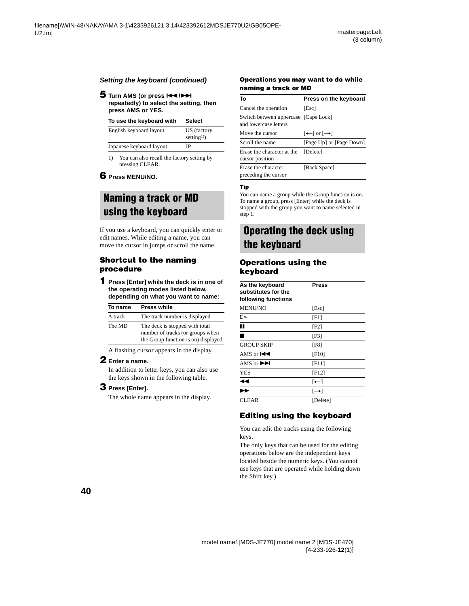#### **Setting the keyboard (continued)**

#### **5** Turn AMS (or press  $\overline{A}$  />> **repeatedly) to select the setting, then press AMS or YES.**

| To use the keyboard with | <b>Select</b>                         |
|--------------------------|---------------------------------------|
| English keyboard layout  | US (factory<br>setting <sup>1</sup> ) |
| Japanese keyboard layout | ΙP                                    |

<span id="page-39-2"></span>1) You can also recall the factory setting by pressing CLEAR.

#### **6 Press MENU/NO.**

## <span id="page-39-0"></span>**Naming a track or MD using the keyboard**

If you use a keyboard, you can quickly enter or edit names. While editing a name, you can move the cursor in jumps or scroll the name.

#### **Shortcut to the naming procedure**

<span id="page-39-7"></span>**1 Press [Enter] while the deck is in one of the operating modes listed below, depending on what you want to name:** 

| To name | <b>Press while</b>                                                                                        |
|---------|-----------------------------------------------------------------------------------------------------------|
| A track | The track number is displayed                                                                             |
| The MD  | The deck is stopped with total<br>number of tracks (or groups when<br>the Group function is on) displayed |

A flashing cursor appears in the display.

#### **2 Enter a name.**

In addition to letter keys, you can also use the keys shown in the following table.

#### **3 Press [Enter].**

The whole name appears in the display.

#### **Operations you may want to do while naming a track or MD**

| То                                                            | Press on the keyboard                                   |
|---------------------------------------------------------------|---------------------------------------------------------|
| Cancel the operation                                          | [Esc]                                                   |
| Switch between uppercase [Caps Lock]<br>and lowercase letters |                                                         |
| Move the cursor                                               | $\left[\leftarrow\right]$ or $\left[\rightarrow\right]$ |
| Scroll the name                                               | [Page Up] or [Page Down]                                |
| Erase the character at the<br>cursor position                 | [Delete]                                                |
| Erase the character<br>preceding the cursor                   | [Back Space]                                            |

#### **Tip**

You can name a group while the Group function is on. To name a group, press [Enter] while the deck is stopped with the group you want to name selected in step [1.](#page-39-7)

## <span id="page-39-1"></span>**Operating the deck using the keyboard**

#### **Operations using the keyboard**

<span id="page-39-5"></span><span id="page-39-4"></span><span id="page-39-3"></span>

| As the keyboard<br>substitutes for the<br>following functions | Press    |  |
|---------------------------------------------------------------|----------|--|
| <b>MENU/NO</b>                                                | [Esc]    |  |
| ⊳                                                             | [F1]     |  |
| H.                                                            | [F2]     |  |
| $\blacksquare$                                                | [F3]     |  |
| <b>GROUP SKIP</b>                                             | [F8]     |  |
| AMS or $\blacktriangleleft$                                   | [F10]    |  |
| AMS or $\blacktriangleright$                                  | $[$ F11] |  |
| <b>YES</b>                                                    | [F12]    |  |
| ◀◀                                                            | $[-1]$   |  |
| $\overline{\phantom{a}}$                                      | $\vdash$ |  |
| CLEAR                                                         | [Delete] |  |

#### <span id="page-39-6"></span>**Editing using the keyboard**

You can edit the tracks using the following keys.

The only keys that can be used for the editing operations below are the independent keys located beside the numeric keys. (You cannot use keys that are operated while holding down the Shift key.)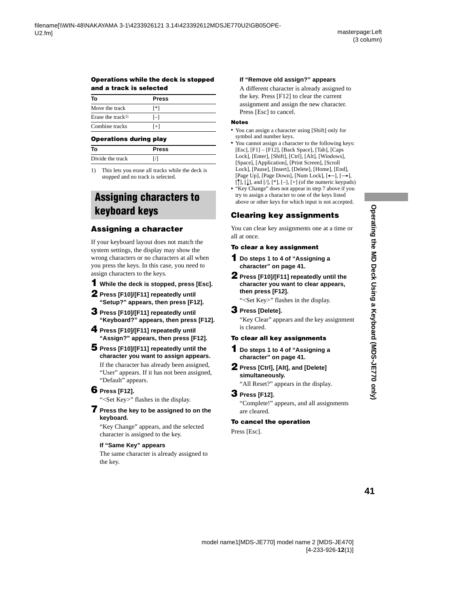#### **Operations while the deck is stopped and a track is selected**

| Т٥                            | <b>Press</b> |  |
|-------------------------------|--------------|--|
| Move the track                | [*]          |  |
| Erase the track <sup>1)</sup> | $[-]$        |  |
| Combine tracks                | $[+]$        |  |

#### **Operations during play**

| То               | <b>Press</b> |  |
|------------------|--------------|--|
| Divide the track |              |  |

<span id="page-40-5"></span>1) This lets you erase all tracks while the deck is stopped and no track is selected.

## <span id="page-40-0"></span>**Assigning characters to keyboard keys**

#### <span id="page-40-4"></span>**Assigning a character**

If your keyboard layout does not match the system settings, the display may show the wrong characters or no characters at all when you press the keys. In this case, you need to assign characters to the keys.

#### <span id="page-40-2"></span>**1 While the deck is stopped, press [Esc].**

- **2 Press [F10]/[F11] repeatedly until "Setup?" appears, then press [F12].**
- **3 Press [F10]/[F11] repeatedly until "Keyboard?" appears, then press [F12].**
- <span id="page-40-3"></span>**4 Press [F10]/[F11] repeatedly until "Assign?" appears, then press [F12].**
- **5 Press [F10]/[F11] repeatedly until the character you want to assign appears.** If the character has already been assigned,
	- "User" appears. If it has not been assigned, "Default" appears.

#### **6 Press [F12].**

"<Set Key>" flashes in the display.

#### <span id="page-40-1"></span>**7 Press the key to be assigned to on the keyboard.**

"Key Change" appears, and the selected character is assigned to the key.

#### **If "Same Key" appears**

The same character is already assigned to the key.

#### **If "Remove old assign?" appears**

A different character is already assigned to the key. Press [F12] to clear the current assignment and assign the new character. Press [Esc] to cancel.

#### **Notes**

- **•** You can assign a character using [Shift] only for symbol and number keys.
- **•** You cannot assign a character to the following keys: [Esc], [F1] – [F12], [Back Space], [Tab], [Caps Lock], [Enter], [Shift], [Ctrl], [Alt], [Windows], [Space], [Application], [Print Screen], [Scroll Lock], [Pause], [Insert], [Delete], [Home], [End], [Page Up], [Page Down], [Num Lock],  $[\leftarrow]$ ,  $[\rightarrow]$ ,  $[\uparrow], [\downarrow],$  and  $[\cdot], [\cdot], [-], [\cdot]$  (of the numeric keypads)
- **•** "Key Change" does not appear in step [7](#page-40-1) above if you try to assign a character to one of the keys listed above or other keys for which input is not accepted.

## **Clearing key assignments**

You can clear key assignments one at a time or all at once.

#### **To clear a key assignment**

- **1 Do steps [1](#page-40-2) to [4](#page-40-3) of ["Assigning a](#page-40-4)  [character" on page 41.](#page-40-4)**
- **2 Press [F10]/[F11] repeatedly until the character you want to clear appears, then press [F12].**

"<Set Key>" flashes in the display.

#### **3 Press [Delete].**

"Key Clear" appears and the key assignment is cleared.

#### **To clear all key assignments**

- **1 Do steps [1](#page-40-2) to [4](#page-40-3) of ["Assigning a](#page-40-4)  [character" on page 41.](#page-40-4)**
- **2 Press [Ctrl], [Alt], and [Delete] simultaneously.**

"All Reset?" appears in the display.

#### **3 Press [F12].**

"Complete!" appears, and all assignments are cleared.

#### **To cancel the operation**

Press [Esc].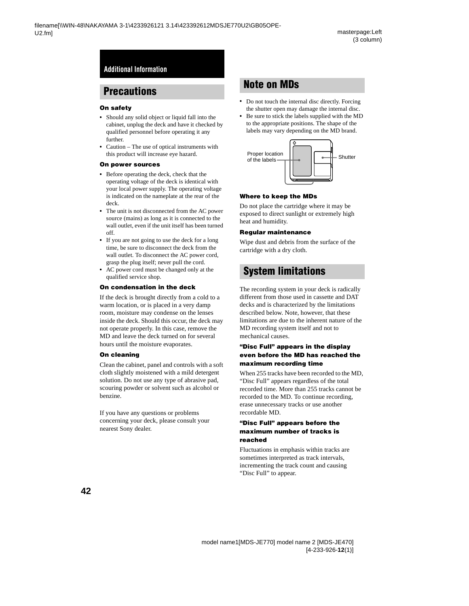## <span id="page-41-1"></span><span id="page-41-0"></span>**Precautions**

#### **On safety**

- **•** Should any solid object or liquid fall into the cabinet, unplug the deck and have it checked by qualified personnel before operating it any further.
- **•** Caution The use of optical instruments with this product will increase eye hazard.

#### **On power sources**

- **•** Before operating the deck, check that the operating voltage of the deck is identical with your local power supply. The operating voltage is indicated on the nameplate at the rear of the deck.
- **•** The unit is not disconnected from the AC power source (mains) as long as it is connected to the wall outlet, even if the unit itself has been turned off.
- **•** If you are not going to use the deck for a long time, be sure to disconnect the deck from the wall outlet. To disconnect the AC power cord, grasp the plug itself; never pull the cord.
- **•** AC power cord must be changed only at the qualified service shop.

#### **On condensation in the deck**

If the deck is brought directly from a cold to a warm location, or is placed in a very damp room, moisture may condense on the lenses inside the deck. Should this occur, the deck may not operate properly. In this case, remove the MD and leave the deck turned on for several hours until the moisture evaporates.

#### **On cleaning**

Clean the cabinet, panel and controls with a soft cloth slightly moistened with a mild detergent solution. Do not use any type of abrasive pad, scouring powder or solvent such as alcohol or benzine.

If you have any questions or problems concerning your deck, please consult your nearest Sony dealer.

## <span id="page-41-2"></span>**Note on MDs**

- **•** Do not touch the internal disc directly. Forcing the shutter open may damage the internal disc.
- **•** Be sure to stick the labels supplied with the MD to the appropriate positions. The shape of the labels may vary depending on the MD brand.



#### **Where to keep the MDs**

Do not place the cartridge where it may be exposed to direct sunlight or extremely high heat and humidity.

#### **Regular maintenance**

Wipe dust and debris from the surface of the cartridge with a dry cloth.

## <span id="page-41-3"></span>**System limitations**

The recording system in your deck is radically different from those used in cassette and DAT decks and is characterized by the limitations described below. Note, however, that these limitations are due to the inherent nature of the MD recording system itself and not to mechanical causes.

#### **"Disc Full" appears in the display even before the MD has reached the maximum recording time**

When 255 tracks have been recorded to the MD, "Disc Full" appears regardless of the total recorded time. More than 255 tracks cannot be recorded to the MD. To continue recording, erase unnecessary tracks or use another recordable MD.

#### <span id="page-41-4"></span>**"Disc Full" appears before the maximum number of tracks is reached**

Fluctuations in emphasis within tracks are sometimes interpreted as track intervals, incrementing the track count and causing "Disc Full" to appear.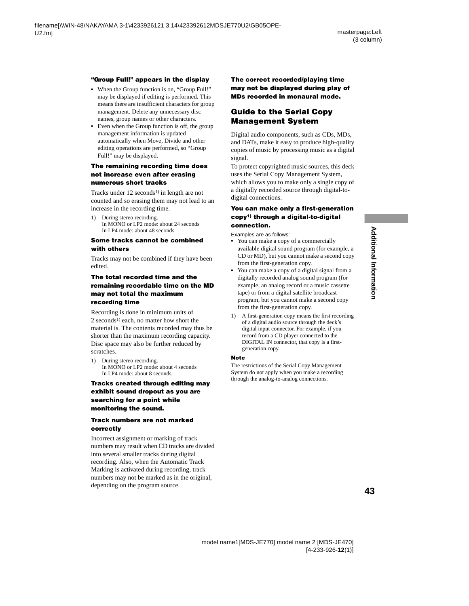#### **"Group Full!" appears in the display**

- When the Group function is on, "Group Full!" may be displayed if editing is performed. This means there are insufficient characters for group management. Delete any unnecessary disc names, group names or other characters.
- Even when the Group function is off, the group management information is updated automatically when Move, Divide and other editing operations are performed, so "Group Full!" may be displayed.

#### **The remaining recording time does not increase even after erasing numerous short tracks**

Tracks under  $12$  seconds<sup>1)</sup> in length are not counted and so erasing them may not lead to an increase in the recording time.

<span id="page-42-0"></span>1) During stereo recording. In MONO or LP2 mode: about 24 seconds In LP4 mode: about 48 seconds

#### **Some tracks cannot be combined with others**

Tracks may not be combined if they have been edited.

#### **The total recorded time and the remaining recordable time on the MD may not total the maximum recording time**

Recording is done in minimum units of 2 seconds<sup>1)</sup> each, no matter how short the material is. The contents recorded may thus be shorter than the maximum recording capacity. Disc space may also be further reduced by scratches.

<span id="page-42-1"></span>1) During stereo recording. In MONO or LP2 mode: about 4 seconds In LP4 mode: about 8 seconds

#### **Tracks created through editing may exhibit sound dropout as you are searching for a point while monitoring the sound.**

#### **Track numbers are not marked correctly**

Incorrect assignment or marking of track numbers may result when CD tracks are divided into several smaller tracks during digital recording. Also, when the Automatic Track Marking is activated during recording, track numbers may not be marked as in the original, depending on the program source.

**The correct recorded/playing time may not be displayed during play of MDs recorded in monaural mode.**

#### <span id="page-42-3"></span>**Guide to the Serial Copy Management System**

Digital audio components, such as CDs, MDs, and DATs, make it easy to produce high-quality copies of music by processing music as a digital signal.

To protect copyrighted music sources, this deck uses the Serial Copy Management System, which allows you to make only a single copy of a digitally recorded source through digital-todigital connections.

#### **You can make only a first-generation copy[1\)](#page-42-2) through a digital-to-digital connection.**

Examples are as follows:

- **•** You can make a copy of a commercially available digital sound program (for example, a CD or MD), but you cannot make a second copy from the first-generation copy.
- **•** You can make a copy of a digital signal from a digitally recorded analog sound program (for example, an analog record or a music cassette tape) or from a digital satellite broadcast program, but you cannot make a second copy from the first-generation copy.
- <span id="page-42-2"></span>1) A first-generation copy means the first recording of a digital audio source through the deck's digital input connector. For example, if you record from a CD player connected to the DIGITAL IN connector, that copy is a firstgeneration copy.

#### **Note**

The restrictions of the Serial Copy Management System do not apply when you make a recording through the analog-to-analog connections.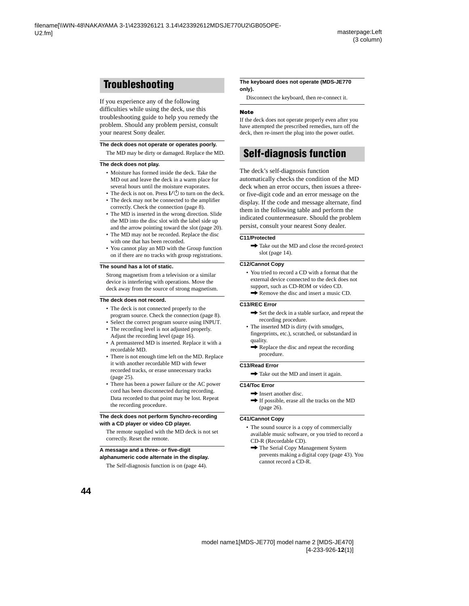## <span id="page-43-0"></span>**Troubleshooting**

If you experience any of the following difficulties while using the deck, use this troubleshooting guide to help you remedy the problem. Should any problem persist, consult your nearest Sony dealer.

#### **The deck does not operate or operates poorly.**

The MD may be dirty or damaged. Replace the MD.

#### **The deck does not play.**

- Moisture has formed inside the deck. Take the MD out and leave the deck in a warm place for several hours until the moisture evaporates.
- The deck is not on. Press  $\mathsf{I}/\mathsf{U}$  to turn on the deck.
- The deck may not be connected to the amplifier correctly. Check the connection [\(page 8\).](#page-7-5)
- The MD is inserted in the wrong direction. Slide the MD into the disc slot with the label side up and the arrow pointing toward the slot [\(page 20\).](#page-19-18)
- The MD may not be recorded. Replace the disc with one that has been recorded.
- You cannot play an MD with the Group function on if there are no tracks with group registrations.

#### **The sound has a lot of static.**

Strong magnetism from a television or a similar device is interfering with operations. Move the deck away from the source of strong magnetism.

#### **The deck does not record.**

- The deck is not connected properly to the program source. Check the connection [\(page 8\).](#page-7-5)
- Select the correct program source using INPUT.
- The recording level is not adjusted properly. Adjust the recording level [\(page 16\)](#page-15-1).
- A premastered MD is inserted. Replace it with a recordable MD.
- There is not enough time left on the MD. Replace it with another recordable MD with fewer recorded tracks, or erase unnecessary tracks [\(page 25\).](#page-24-1)
- There has been a power failure or the AC power cord has been disconnected during recording. Data recorded to that point may be lost. Repeat the recording procedure.

#### **The deck does not perform Synchro-recording with a CD player or video CD player.**

The remote supplied with the MD deck is not set correctly. Reset the remote.

#### **A message and a three- or five-digit alphanumeric code alternate in the display.**

The Self-diagnosis function is on [\(page 44\).](#page-43-1)

#### **The keyboard does not operate (MDS-JE770 only).**

Disconnect the keyboard, then re-connect it.

#### **Note**

If the deck does not operate properly even after you have attempted the prescribed remedies, turn off the deck, then re-insert the plug into the power outlet.

## <span id="page-43-1"></span>**Self-diagnosis function**

The deck's self-diagnosis function automatically checks the condition of the MD deck when an error occurs, then issues a threeor five-digit code and an error message on the display. If the code and message alternate, find them in the following table and perform the indicated countermeasure. Should the problem persist, consult your nearest Sony dealer.

#### **C11/Protected**

 $\rightarrow$  Take out the MD and close the record-protect slot [\(page 14\).](#page-13-6)

#### **C12/Cannot Copy**

• You tried to record a CD with a format that the external device connected to the deck does not support, such as CD-ROM or video CD.  $\rightarrow$  Remove the disc and insert a music CD.

#### **C13/REC Error**

- $\rightarrow$  Set the deck in a stable surface, and repeat the recording procedure.
- The inserted MD is dirty (with smudges, fingerprints, etc.), scratched, or substandard in quality.
	- $\rightarrow$  Replace the disc and repeat the recording procedure.

#### **C13/Read Error**

 $\rightarrow$  Take out the MD and insert it again.

#### **C14/Toc Error**

- $\rightarrow$  Insert another disc.
- $\rightarrow$  If possible, erase all the tracks on the MD [\(page 26\)](#page-25-4).

#### **C41/Cannot Copy**

- The sound source is a copy of commercially available music software, or you tried to record a CD-R (Recordable CD).
	- $\rightarrow$  The Serial Copy Management System prevents making a digital copy [\(page 43\)](#page-42-3). You cannot record a CD-R.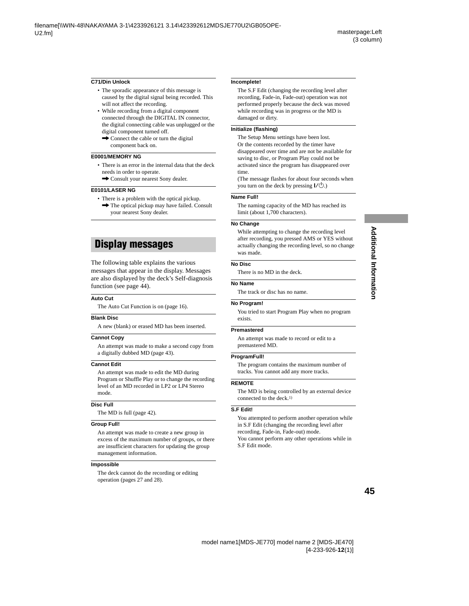#### **C71/Din Unlock**

- The sporadic appearance of this message is caused by the digital signal being recorded. This will not affect the recording.
- While recording from a digital component connected through the DIGITAL IN connector, the digital connecting cable was unplugged or the digital component turned off.
	- $\rightarrow$  Connect the cable or turn the digital component back on.

#### **E0001/MEMORY NG**

- There is an error in the internal data that the deck needs in order to operate.
	- $\rightarrow$  Consult your nearest Sony dealer.

#### **E0101/LASER NG**

• There is a problem with the optical pickup.  $\rightarrow$  The optical pickup may have failed. Consult your nearest Sony dealer.

## <span id="page-44-0"></span>**Display messages**

The following table explains the various messages that appear in the display. Messages are also displayed by the deck's Self-diagnosis function (see [page 44\)](#page-43-1).

#### **Auto Cut**

The Auto Cut Function is on [\(page 16\).](#page-15-2)

#### **Blank Disc**

A new (blank) or erased MD has been inserted.

#### **Cannot Copy**

An attempt was made to make a second copy from a digitally dubbed MD [\(page 43\).](#page-42-3)

#### **Cannot Edit**

An attempt was made to edit the MD during Program or Shuffle Play or to change the recording level of an MD recorded in LP2 or LP4 Stereo mode.

#### **Disc Full**

The MD is full [\(page 42\).](#page-41-4)

#### **Group Full!**

An attempt was made to create a new group in excess of the maximum number of groups, or there are insufficient characters for updating the group management information.

#### **Impossible**

The deck cannot do the recording or editing operation (pages [27](#page-26-3) and [28\)](#page-27-4).

#### **Incomplete!**

The S.F Edit (changing the recording level after recording, Fade-in, Fade-out) operation was not performed properly because the deck was moved while recording was in progress or the MD is damaged or dirty.

#### **Initialize (flashing)**

The Setup Menu settings have been lost. Or the contents recorded by the timer have disappeared over time and are not be available for saving to disc, or Program Play could not be activated since the program has disappeared over time.

(The message flashes for about four seconds when you turn on the deck by pressing  $\mathsf{I}/\mathsf{C}$ .)

#### **Name Full!**

The naming capacity of the MD has reached its limit (about 1,700 characters).

#### **No Change**

While attempting to change the recording level after recording, you pressed AMS or YES without actually changing the recording level, so no change was made.

#### **No Disc**

There is no MD in the deck.

#### **No Name**

The track or disc has no name.

#### **No Program!**

You tried to start Program Play when no program exists.

#### **Premastered**

An attempt was made to record or edit to a premastered MD.

#### **ProgramFull!**

The program contains the maximum number of tracks. You cannot add any more tracks.

#### **REMOTE**

The MD is being controlled by an external device connected to the deck[.1\)](#page-45-1)

#### **S.F Edit!**

You attempted to perform another operation while in S.F Edit (changing the recording level after recording, Fade-in, Fade-out) mode.

You cannot perform any other operations while in S.F Edit mode.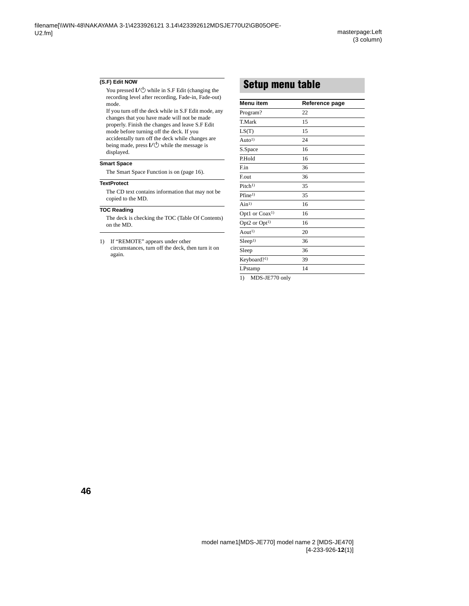#### **(S.F) Edit NOW**

You pressed  $\mathsf{I}\mathsf{/}\bigcirc$  while in S.F Edit (changing the recording level after recording, Fade-in, Fade-out) mode.

If you turn off the deck while in S.F Edit mode, any changes that you have made will not be made properly. Finish the changes and leave S.F Edit mode before turning off the deck. If you accidentally turn off the deck while changes are being made, press  $\mathsf{I}\mathsf{/}\bigcirc$  while the message is displayed.

#### **Smart Space**

The Smart Space Function is on [\(page 16\)](#page-15-2).

#### **TextProtect**

The CD text contains information that may not be copied to the MD.

#### **TOC Reading**

The deck is checking the TOC (Table Of Contents) on the MD.

<span id="page-45-1"></span>1) If "REMOTE" appears under other circumstances, turn off the deck, then turn it on again.

## <span id="page-45-0"></span>**Setup menu table**

| Menu item                          | Reference page |
|------------------------------------|----------------|
| Program?                           | 22             |
| T.Mark                             | 15             |
| LS(T)                              | 15             |
| Auto <sup>1)</sup>                 | 24             |
| S.Space                            | 16             |
| P.Hold                             | 16             |
| F.in                               | 36             |
| F.out                              | 36             |
| Pitch <sup>1)</sup>                | 35             |
| $P$ fine <sup>1)</sup>             | 35             |
| $A$ in <sup>1</sup> )              | 16             |
| Opt1 or Coax <sup>1)</sup>         | 16             |
| Opt2 or $Opt1$                     | 16             |
| Aout <sup>1</sup>                  | 20             |
| Sleep <sup>1</sup>                 | 36             |
| Sleep                              | 36             |
| Keyboard?1)                        | 39             |
| LPstamp                            | 14             |
| $1 \times 1$ MDC IE770 $\ldots$ 1. |                |

<span id="page-45-2"></span>1) MDS-JE770 only